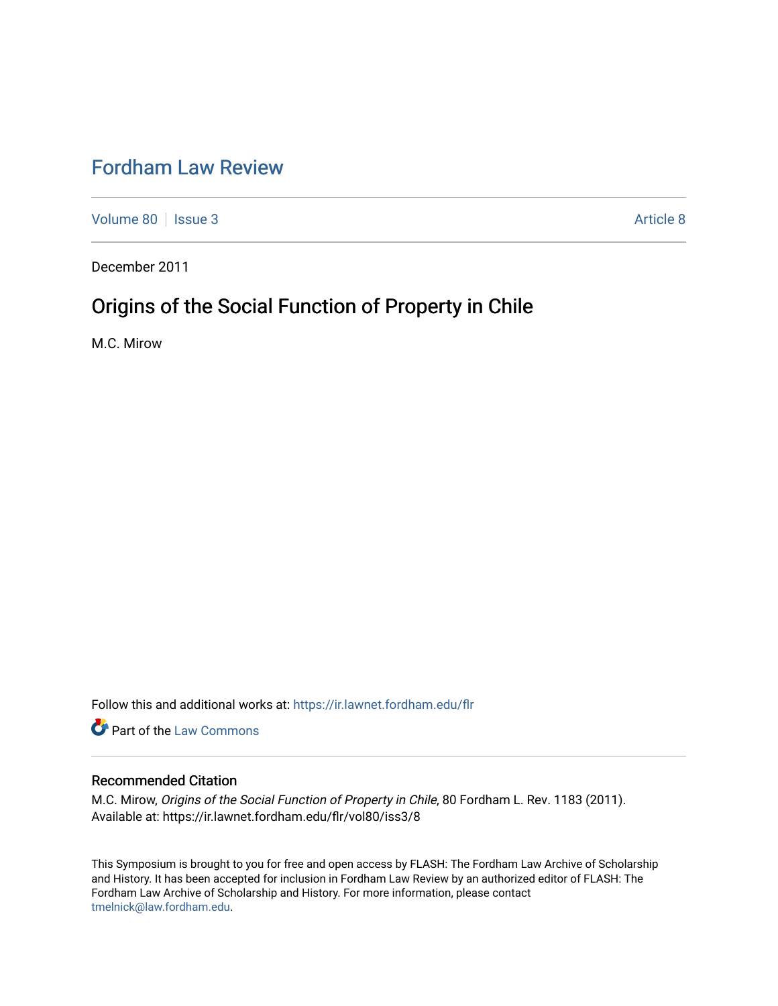# [Fordham Law Review](https://ir.lawnet.fordham.edu/flr)

[Volume 80](https://ir.lawnet.fordham.edu/flr/vol80) | [Issue 3](https://ir.lawnet.fordham.edu/flr/vol80/iss3) Article 8

December 2011

# Origins of the Social Function of Property in Chile

M.C. Mirow

Follow this and additional works at: [https://ir.lawnet.fordham.edu/flr](https://ir.lawnet.fordham.edu/flr?utm_source=ir.lawnet.fordham.edu%2Fflr%2Fvol80%2Fiss3%2F8&utm_medium=PDF&utm_campaign=PDFCoverPages)

**Part of the [Law Commons](http://network.bepress.com/hgg/discipline/578?utm_source=ir.lawnet.fordham.edu%2Fflr%2Fvol80%2Fiss3%2F8&utm_medium=PDF&utm_campaign=PDFCoverPages)** 

# Recommended Citation

M.C. Mirow, Origins of the Social Function of Property in Chile, 80 Fordham L. Rev. 1183 (2011). Available at: https://ir.lawnet.fordham.edu/flr/vol80/iss3/8

This Symposium is brought to you for free and open access by FLASH: The Fordham Law Archive of Scholarship and History. It has been accepted for inclusion in Fordham Law Review by an authorized editor of FLASH: The Fordham Law Archive of Scholarship and History. For more information, please contact [tmelnick@law.fordham.edu](mailto:tmelnick@law.fordham.edu).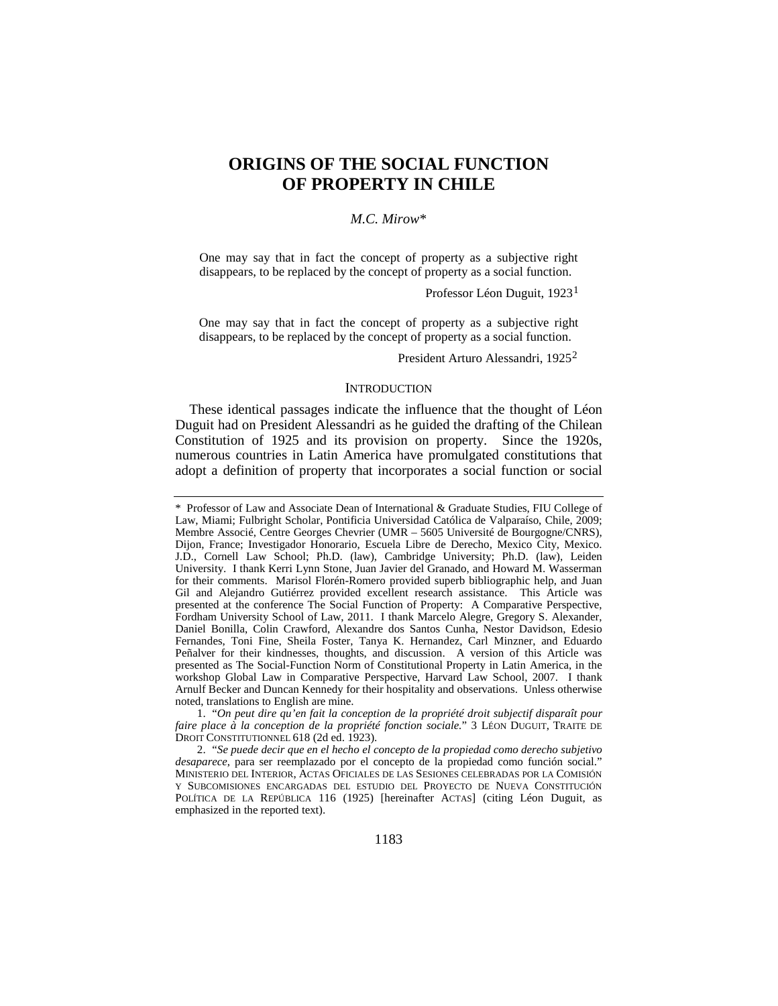# **ORIGINS OF THE SOCIAL FUNCTION OF PROPERTY IN CHILE**

# *M.C. Mirow*[\\*](#page-1-0)

One may say that in fact the concept of property as a subjective right disappears, to be replaced by the concept of property as a social function.

<span id="page-1-3"></span>Professor Léon Duguit, 1923[1](#page-1-1)

One may say that in fact the concept of property as a subjective right disappears, to be replaced by the concept of property as a social function.

President Arturo Alessandri, 1925[2](#page-1-2)

#### **INTRODUCTION**

These identical passages indicate the influence that the thought of Léon Duguit had on President Alessandri as he guided the drafting of the Chilean Constitution of 1925 and its provision on property. Since the 1920s, numerous countries in Latin America have promulgated constitutions that adopt a definition of property that incorporates a social function or social

<span id="page-1-1"></span>1. "*On peut dire qu'en fait la conception de la propriété droit subjectif disparaît pour faire place à la conception de la propriété fonction sociale.*" 3 LÉON DUGUIT, TRAITE DE DROIT CONSTITUTIONNEL 618 (2d ed. 1923).

<span id="page-1-2"></span>2. "*Se puede decir que en el hecho el concepto de la propiedad como derecho subjetivo desaparece*, para ser reemplazado por el concepto de la propiedad como función social." MINISTERIO DEL INTERIOR, ACTAS OFICIALES DE LAS SESIONES CELEBRADAS POR LA COMISIÓN Y SUBCOMISIONES ENCARGADAS DEL ESTUDIO DEL PROYECTO DE NUEVA CONSTITUCIÓN POLÍTICA DE LA REPÚBLICA 116 (1925) [hereinafter ACTAS] (citing Léon Duguit, as emphasized in the reported text).

<span id="page-1-0"></span><sup>\*</sup> Professor of Law and Associate Dean of International & Graduate Studies, FIU College of Law, Miami; Fulbright Scholar, Pontificia Universidad Católica de Valparaíso, Chile, 2009; Membre Associé, Centre Georges Chevrier (UMR – 5605 Université de Bourgogne/CNRS), Dijon, France; Investigador Honorario, Escuela Libre de Derecho, Mexico City, Mexico. J.D., Cornell Law School; Ph.D. (law), Cambridge University; Ph.D. (law), Leiden University. I thank Kerri Lynn Stone, Juan Javier del Granado, and Howard M. Wasserman for their comments. Marisol Florén-Romero provided superb bibliographic help, and Juan Gil and Alejandro Gutiérrez provided excellent research assistance. This Article was presented at the conference The Social Function of Property: A Comparative Perspective, Fordham University School of Law, 2011. I thank Marcelo Alegre, Gregory S. Alexander, Daniel Bonilla, Colin Crawford, Alexandre dos Santos Cunha, Nestor Davidson, Edesio Fernandes, Toni Fine, Sheila Foster, Tanya K. Hernandez, Carl Minzner, and Eduardo Peñalver for their kindnesses, thoughts, and discussion. A version of this Article was presented as The Social-Function Norm of Constitutional Property in Latin America, in the workshop Global Law in Comparative Perspective, Harvard Law School, 2007. I thank Arnulf Becker and Duncan Kennedy for their hospitality and observations. Unless otherwise noted, translations to English are mine.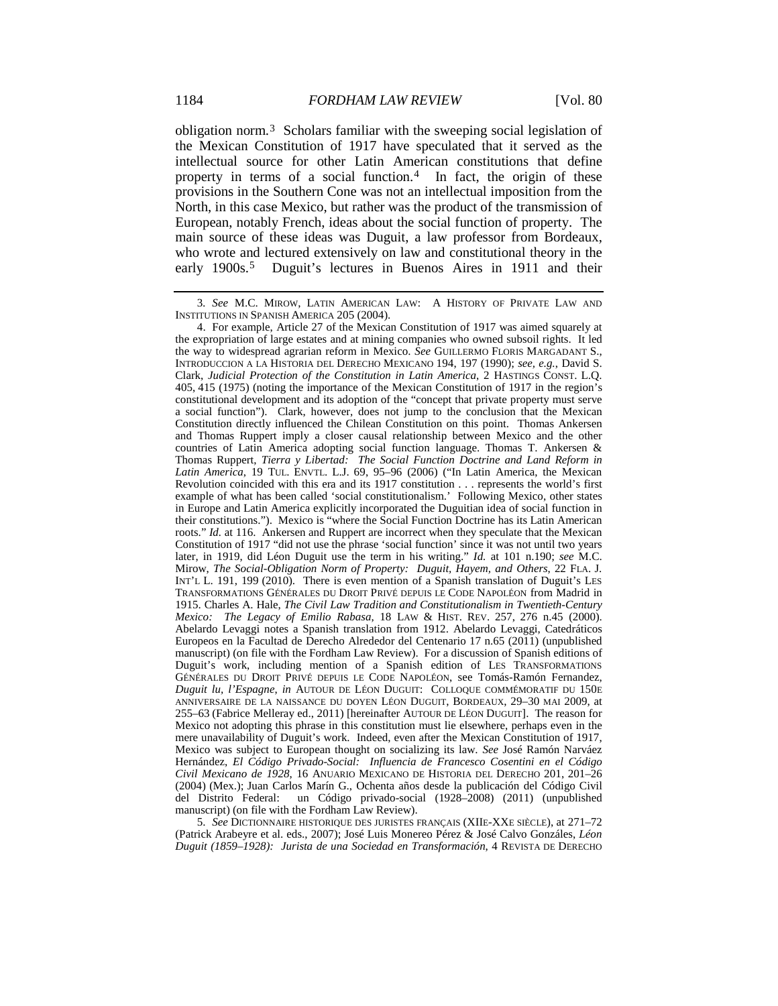<span id="page-2-3"></span>obligation norm.[3](#page-2-0) Scholars familiar with the sweeping social legislation of the Mexican Constitution of 1917 have speculated that it served as the intellectual source for other Latin American constitutions that define property in terms of a social function.<sup>[4](#page-2-1)</sup> In fact, the origin of these provisions in the Southern Cone was not an intellectual imposition from the North, in this case Mexico, but rather was the product of the transmission of European, notably French, ideas about the social function of property. The main source of these ideas was Duguit, a law professor from Bordeaux, who wrote and lectured extensively on law and constitutional theory in the early 1900s.<sup>[5](#page-2-2)</sup> Duguit's lectures in Buenos Aires in 1911 and their

<span id="page-2-2"></span>5. *See* DICTIONNAIRE HISTORIQUE DES JURISTES FRANÇAIS (XIIE-XXE SIÈCLE), at 271–72 (Patrick Arabeyre et al. eds., 2007); José Luis Monereo Pérez & José Calvo Gonzáles, *Léon Duguit (1859–1928): Jurista de una Sociedad en Transformación*, 4 REVISTA DE DERECHO

<span id="page-2-4"></span><span id="page-2-0"></span><sup>3</sup>*. See* M.C. MIROW, LATIN AMERICAN LAW: A HISTORY OF PRIVATE LAW AND INSTITUTIONS IN SPANISH AMERICA 205 (2004).

<span id="page-2-1"></span><sup>4.</sup> For example, Article 27 of the Mexican Constitution of 1917 was aimed squarely at the expropriation of large estates and at mining companies who owned subsoil rights. It led the way to widespread agrarian reform in Mexico. *See* GUILLERMO FLORIS MARGADANT S., INTRODUCCION A LA HISTORIA DEL DERECHO MEXICANO 194, 197 (1990); *see, e.g.*, David S. Clark, *Judicial Protection of the Constitution in Latin America*, 2 HASTINGS CONST. L.Q. 405, 415 (1975) (noting the importance of the Mexican Constitution of 1917 in the region's constitutional development and its adoption of the "concept that private property must serve a social function"). Clark, however, does not jump to the conclusion that the Mexican Constitution directly influenced the Chilean Constitution on this point. Thomas Ankersen and Thomas Ruppert imply a closer causal relationship between Mexico and the other countries of Latin America adopting social function language. Thomas T. Ankersen & Thomas Ruppert, *Tierra y Libertad: The Social Function Doctrine and Land Reform in Latin America*, 19 TUL. ENVTL. L.J. 69, 95–96 (2006) ("In Latin America, the Mexican Revolution coincided with this era and its 1917 constitution . . . represents the world's first example of what has been called 'social constitutionalism.' Following Mexico, other states in Europe and Latin America explicitly incorporated the Duguitian idea of social function in their constitutions."). Mexico is "where the Social Function Doctrine has its Latin American roots." *Id.* at 116. Ankersen and Ruppert are incorrect when they speculate that the Mexican Constitution of 1917 "did not use the phrase 'social function' since it was not until two years later, in 1919, did Léon Duguit use the term in his writing." *Id.* at 101 n.190; *see* M.C. Mirow, *The Social-Obligation Norm of Property: Duguit, Hayem, and Others*, 22 FLA. J. INT'L L. 191, 199 (2010). There is even mention of a Spanish translation of Duguit's LES TRANSFORMATIONS GÉNÉRALES DU DROIT PRIVÉ DEPUIS LE CODE NAPOLÉON from Madrid in 1915. Charles A. Hale, *The Civil Law Tradition and Constitutionalism in Twentieth-Century Mexico: The Legacy of Emilio Rabasa*, 18 LAW & HIST. REV. 257, 276 n.45 (2000). Abelardo Levaggi notes a Spanish translation from 1912. Abelardo Levaggi, Catedráticos Europeos en la Facultad de Derecho Alrededor del Centenario 17 n.65 (2011) (unpublished manuscript) (on file with the Fordham Law Review). For a discussion of Spanish editions of Duguit's work, including mention of a Spanish edition of LES TRANSFORMATIONS GÉNÉRALES DU DROIT PRIVÉ DEPUIS LE CODE NAPOLÉON, see Tomás-Ramón Fernandez, *Duguit lu, l'Espagne*, *in* AUTOUR DE LÉON DUGUIT: COLLOQUE COMMÉMORATIF DU 150E ANNIVERSAIRE DE LA NAISSANCE DU DOYEN LÉON DUGUIT, BORDEAUX, 29–30 MAI 2009, at 255–63 (Fabrice Melleray ed., 2011) [hereinafter AUTOUR DE LÉON DUGUIT]. The reason for Mexico not adopting this phrase in this constitution must lie elsewhere, perhaps even in the mere unavailability of Duguit's work. Indeed, even after the Mexican Constitution of 1917, Mexico was subject to European thought on socializing its law. *See* José Ramón Narváez Hernández, *El Código Privado-Social: Influencia de Francesco Cosentini en el Código Civil Mexicano de 1928*, 16 ANUARIO MEXICANO DE HISTORIA DEL DERECHO 201, 201–26 (2004) (Mex.); Juan Carlos Marín G., Ochenta años desde la publicación del Código Civil del Distrito Federal: un Código privado-social (1928–2008) (2011) (unpublished manuscript) (on file with the Fordham Law Review).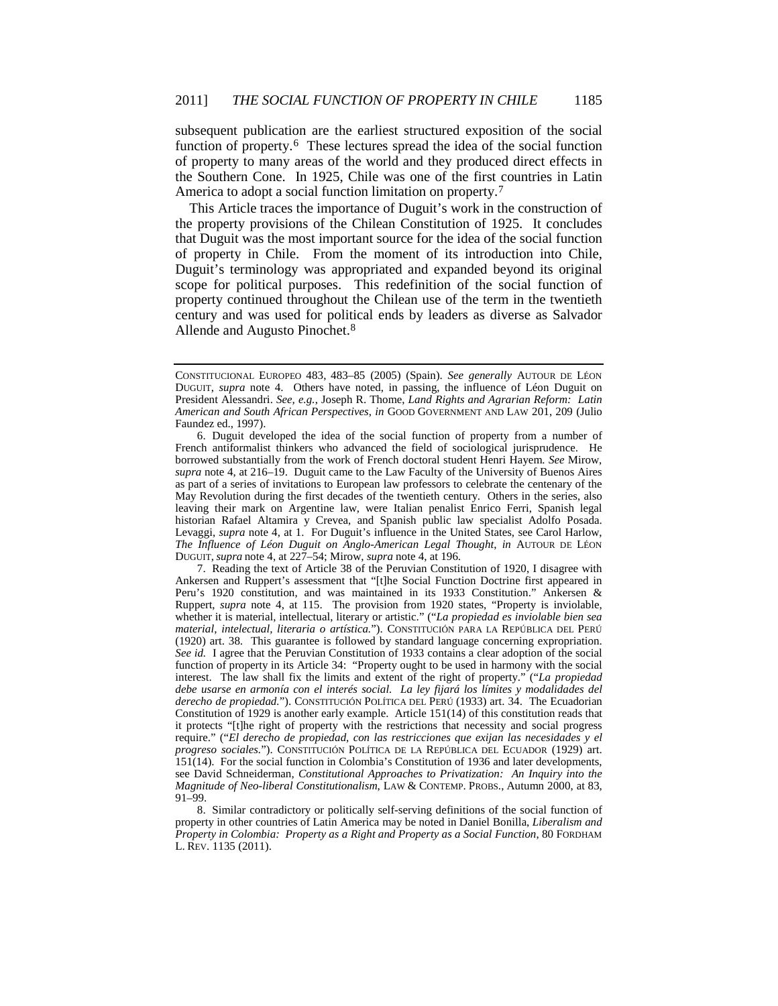subsequent publication are the earliest structured exposition of the social function of property.<sup>[6](#page-3-0)</sup> These lectures spread the idea of the social function of property to many areas of the world and they produced direct effects in the Southern Cone. In 1925, Chile was one of the first countries in Latin America to adopt a social function limitation on property.[7](#page-3-1)

This Article traces the importance of Duguit's work in the construction of the property provisions of the Chilean Constitution of 1925. It concludes that Duguit was the most important source for the idea of the social function of property in Chile. From the moment of its introduction into Chile, Duguit's terminology was appropriated and expanded beyond its original scope for political purposes. This redefinition of the social function of property continued throughout the Chilean use of the term in the twentieth century and was used for political ends by leaders as diverse as Salvador Allende and Augusto Pinochet.[8](#page-3-2)

<span id="page-3-1"></span>7. Reading the text of Article 38 of the Peruvian Constitution of 1920, I disagree with Ankersen and Ruppert's assessment that "[t]he Social Function Doctrine first appeared in Peru's 1920 constitution, and was maintained in its 1933 Constitution." Ankersen & Ruppert, *supra* note [4,](#page-2-3) at 115. The provision from 1920 states, "Property is inviolable, whether it is material, intellectual, literary or artistic." ("*La propiedad es inviolable bien sea material, intelectual, literaria o artística.*"). CONSTITUCIÓN PARA LA REPÚBLICA DEL PERÚ (1920) art. 38. This guarantee is followed by standard language concerning expropriation. *See id.* I agree that the Peruvian Constitution of 1933 contains a clear adoption of the social function of property in its Article 34: "Property ought to be used in harmony with the social interest. The law shall fix the limits and extent of the right of property." ("*La propiedad debe usarse en armonía con el interés social. La ley fijará los límites y modalidades del derecho de propiedad.*"). CONSTITUCIÓN POLÍTICA DEL PERÚ (1933) art. 34. The Ecuadorian Constitution of 1929 is another early example. Article 151(14) of this constitution reads that it protects "[t]he right of property with the restrictions that necessity and social progress require." ("*El derecho de propiedad, con las restricciones que exijan las necesidades y el progreso sociales.*"). CONSTITUCIÓN POLÍTICA DE LA REPÚBLICA DEL ECUADOR (1929) art. 151(14). For the social function in Colombia's Constitution of 1936 and later developments, see David Schneiderman, *Constitutional Approaches to Privatization: An Inquiry into the Magnitude of Neo-liberal Constitutionalism*, LAW & CONTEMP. PROBS., Autumn 2000, at 83, 91–99.

<span id="page-3-2"></span>8. Similar contradictory or politically self-serving definitions of the social function of property in other countries of Latin America may be noted in Daniel Bonilla, *Liberalism and Property in Colombia: Property as a Right and Property as a Social Function*, 80 FORDHAM L. REV. 1135 (2011).

CONSTITUCIONAL EUROPEO 483, 483–85 (2005) (Spain). *See generally* AUTOUR DE LÉON DUGUIT, *supra* note [4.](#page-2-3) Others have noted, in passing, the influence of Léon Duguit on President Alessandri. *See, e.g.*, Joseph R. Thome, *Land Rights and Agrarian Reform: Latin American and South African Perspectives*, *in* GOOD GOVERNMENT AND LAW 201, 209 (Julio Faundez ed., 1997).

<span id="page-3-0"></span><sup>6.</sup> Duguit developed the idea of the social function of property from a number of French antiformalist thinkers who advanced the field of sociological jurisprudence. He borrowed substantially from the work of French doctoral student Henri Hayem. *See* Mirow, *supra* note [4,](#page-2-3) at 216–19. Duguit came to the Law Faculty of the University of Buenos Aires as part of a series of invitations to European law professors to celebrate the centenary of the May Revolution during the first decades of the twentieth century. Others in the series, also leaving their mark on Argentine law, were Italian penalist Enrico Ferri, Spanish legal historian Rafael Altamira y Crevea, and Spanish public law specialist Adolfo Posada. Levaggi, *supra* note [4,](#page-2-3) at 1. For Duguit's influence in the United States, see Carol Harlow, *The Influence of Léon Duguit on Anglo-American Legal Thought*, *in* AUTOUR DE LÉON DUGUIT, *supra* not[e 4,](#page-2-3) at 227–54; Mirow, *supra* not[e 4,](#page-2-3) at 196.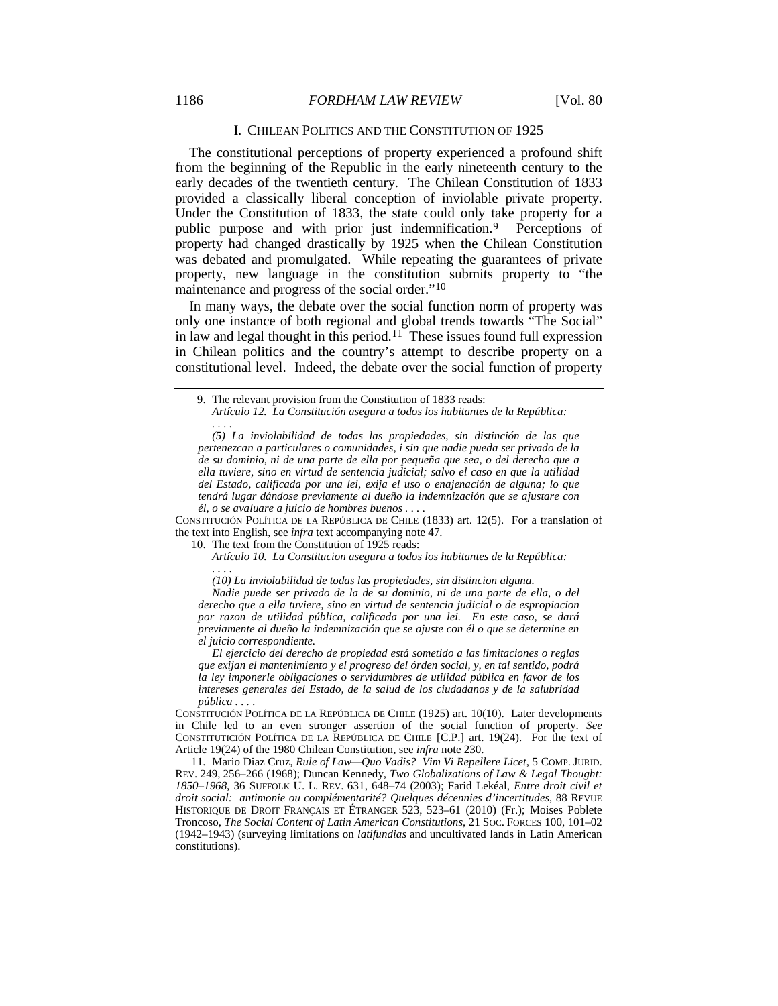#### 1186 *FORDHAM LAW REVIEW* [Vol. 80

### <span id="page-4-4"></span><span id="page-4-3"></span>I. CHILEAN POLITICS AND THE CONSTITUTION OF 1925

The constitutional perceptions of property experienced a profound shift from the beginning of the Republic in the early nineteenth century to the early decades of the twentieth century. The Chilean Constitution of 1833 provided a classically liberal conception of inviolable private property. Under the Constitution of 1833, the state could only take property for a public purpose and with prior just indemnification.[9](#page-4-0) Perceptions of property had changed drastically by 1925 when the Chilean Constitution was debated and promulgated. While repeating the guarantees of private property, new language in the constitution submits property to "the maintenance and progress of the social order."[10](#page-4-1)

In many ways, the debate over the social function norm of property was only one instance of both regional and global trends towards "The Social" in law and legal thought in this period.<sup>[11](#page-4-2)</sup> These issues found full expression in Chilean politics and the country's attempt to describe property on a constitutional level. Indeed, the debate over the social function of property

*Artículo 12. La Constitución asegura a todos los habitantes de la República: . . . .*

*(5) La inviolabilidad de todas las propiedades, sin distinción de las que pertenezcan a particulares o comunidades, i sin que nadie pueda ser privado de la de su dominio, ni de una parte de ella por pequeña que sea, o del derecho que a ella tuviere, sino en virtud de sentencia judicial; salvo el caso en que la utilidad del Estado, calificada por una lei, exija el uso o enajenación de alguna; lo que tendrá lugar dándose previamente al dueño la indemnización que se ajustare con él, o se avaluare a juicio de hombres buenos . . . .*

<span id="page-4-1"></span>CONSTITUCIÓN POLÍTICA DE LA REPÚBLICA DE CHILE (1833) art. 12(5). For a translation of the text into English, see *infra* text accompanying note [47.](#page-9-0)

10. The text from the Constitution of 1925 reads:

*Artículo 10. La Constitucion asegura a todos los habitantes de la República: . . . .*

*(10) La inviolabilidad de todas las propiedades, sin distincion alguna.*

*Nadie puede ser privado de la de su dominio, ni de una parte de ella, o del derecho que a ella tuviere, sino en virtud de sentencia judicial o de espropiacion por razon de utilidad pública, calificada por una lei. En este caso, se dará previamente al dueño la indemnización que se ajuste con él o que se determine en el juicio correspondiente.*

*El ejercicio del derecho de propiedad está sometido a las limitaciones o reglas que exijan el mantenimiento y el progreso del órden social, y, en tal sentido, podrá la ley imponerle obligaciones o servidumbres de utilidad pública en favor de los intereses generales del Estado, de la salud de los ciudadanos y de la salubridad pública . . . .*

CONSTITUCIÓN POLÍTICA DE LA REPÚBLICA DE CHILE (1925) art. 10(10). Later developments in Chile led to an even stronger assertion of the social function of property. *See* CONSTITUTICIÓN POLÍTICA DE LA REPÚBLICA DE CHILE [C.P.] art. 19(24). For the text of Article 19(24) of the 1980 Chilean Constitution, see *infra* not[e 230.](#page-31-0)

<span id="page-4-2"></span>11. Mario Diaz Cruz, *Rule of Law—Quo Vadis? Vim Vi Repellere Licet*, 5 COMP. JURID. REV. 249, 256–266 (1968); Duncan Kennedy, *Two Globalizations of Law & Legal Thought: 1850–1968*, 36 SUFFOLK U. L. REV. 631, 648–74 (2003); Farid Lekéal, *Entre droit civil et droit social: antimonie ou complémentarité? Quelques décennies d'incertitudes*, 88 REVUE HISTORIQUE DE DROIT FRANÇAIS ET ÉTRANGER 523, 523–61 (2010) (Fr.); Moises Poblete Troncoso, *The Social Content of Latin American Constitutions*, 21 SOC. FORCES 100, 101–02 (1942–1943) (surveying limitations on *latifundias* and uncultivated lands in Latin American constitutions).

<span id="page-4-0"></span><sup>9.</sup> The relevant provision from the Constitution of 1833 reads: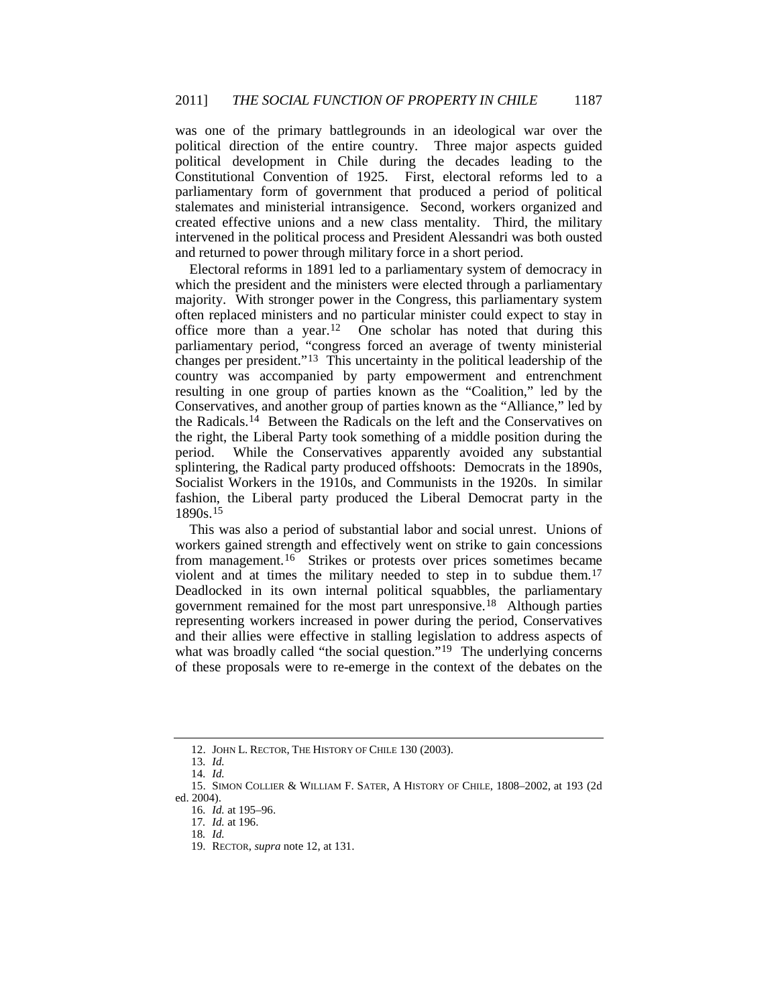was one of the primary battlegrounds in an ideological war over the political direction of the entire country. Three major aspects guided political development in Chile during the decades leading to the Constitutional Convention of 1925. First, electoral reforms led to a parliamentary form of government that produced a period of political stalemates and ministerial intransigence. Second, workers organized and created effective unions and a new class mentality. Third, the military intervened in the political process and President Alessandri was both ousted and returned to power through military force in a short period.

<span id="page-5-0"></span>Electoral reforms in 1891 led to a parliamentary system of democracy in which the president and the ministers were elected through a parliamentary majority. With stronger power in the Congress, this parliamentary system often replaced ministers and no particular minister could expect to stay in office more than a year.<sup>[12](#page-5-1)</sup> One scholar has noted that during this parliamentary period, "congress forced an average of twenty ministerial changes per president."[13](#page-5-2) This uncertainty in the political leadership of the country was accompanied by party empowerment and entrenchment resulting in one group of parties known as the "Coalition," led by the Conservatives, and another group of parties known as the "Alliance," led by the Radicals.[14](#page-5-3) Between the Radicals on the left and the Conservatives on the right, the Liberal Party took something of a middle position during the period. While the Conservatives apparently avoided any substantial splintering, the Radical party produced offshoots: Democrats in the 1890s, Socialist Workers in the 1910s, and Communists in the 1920s. In similar fashion, the Liberal party produced the Liberal Democrat party in the 1890s.[15](#page-5-4)

<span id="page-5-9"></span>This was also a period of substantial labor and social unrest. Unions of workers gained strength and effectively went on strike to gain concessions from management.[16](#page-5-5) Strikes or protests over prices sometimes became violent and at times the military needed to step in to subdue them.[17](#page-5-6) Deadlocked in its own internal political squabbles, the parliamentary government remained for the most part unresponsive.[18](#page-5-7) Although parties representing workers increased in power during the period, Conservatives and their allies were effective in stalling legislation to address aspects of what was broadly called "the social question."<sup>[19](#page-5-8)</sup> The underlying concerns of these proposals were to re-emerge in the context of the debates on the

<sup>12.</sup> JOHN L. RECTOR, THE HISTORY OF CHILE 130 (2003).

<sup>13</sup>*. Id.*

<sup>14</sup>*. Id.*

<span id="page-5-8"></span><span id="page-5-7"></span><span id="page-5-6"></span><span id="page-5-5"></span><span id="page-5-4"></span><span id="page-5-3"></span><span id="page-5-2"></span><span id="page-5-1"></span><sup>15.</sup> SIMON COLLIER & WILLIAM F. SATER, A HISTORY OF CHILE, 1808–2002, at 193 (2d ed. 2004).

<sup>16</sup>*. Id.* at 195–96.

<sup>17</sup>*. Id.* at 196.

<sup>18</sup>*. Id.*

<sup>19.</sup> RECTOR, *supra* note [12,](#page-5-0) at 131.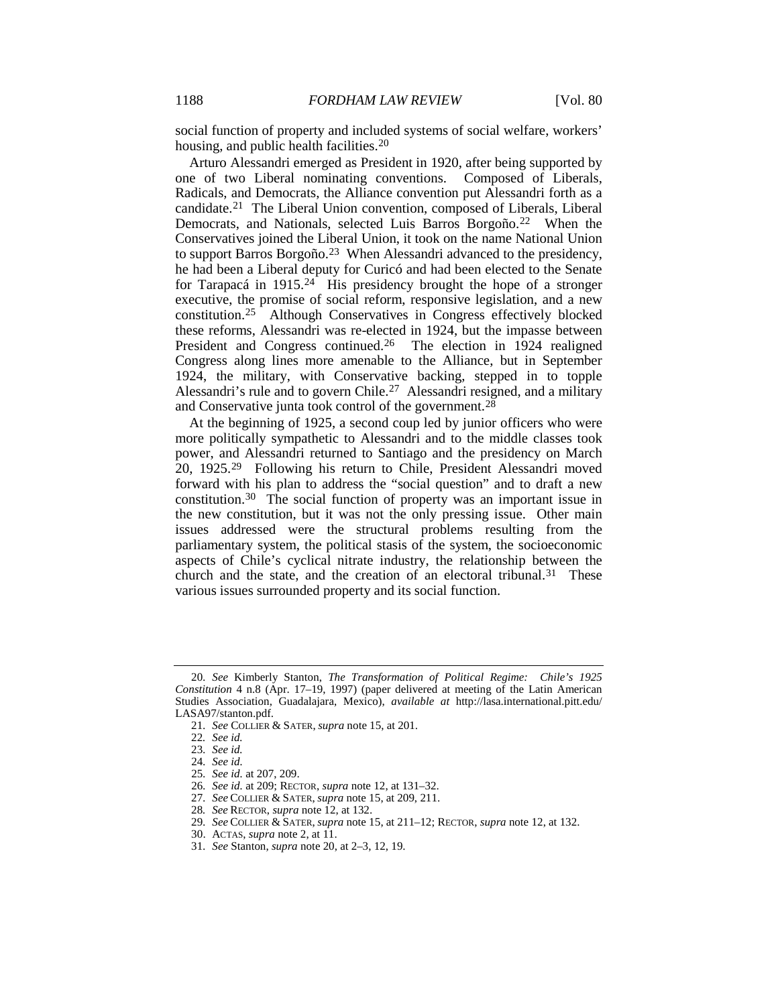<span id="page-6-0"></span>social function of property and included systems of social welfare, workers' housing, and public health facilities.[20](#page-6-1)

Arturo Alessandri emerged as President in 1920, after being supported by one of two Liberal nominating conventions. Composed of Liberals, Radicals, and Democrats, the Alliance convention put Alessandri forth as a candidate[.21](#page-6-2) The Liberal Union convention, composed of Liberals, Liberal Democrats, and Nationals, selected Luis Barros Borgoño.<sup>[22](#page-6-3)</sup> When the Conservatives joined the Liberal Union, it took on the name National Union to support Barros Borgoño.[23](#page-6-4) When Alessandri advanced to the presidency, he had been a Liberal deputy for Curicó and had been elected to the Senate for Tarapacá in 1915.[24](#page-6-5) His presidency brought the hope of a stronger executive, the promise of social reform, responsive legislation, and a new constitution.[25](#page-6-6) Although Conservatives in Congress effectively blocked these reforms, Alessandri was re-elected in 1924, but the impasse between President and Congress continued.<sup>26</sup> The election in 1924 realigned Congress along lines more amenable to the Alliance, but in September 1924, the military, with Conservative backing, stepped in to topple Alessandri's rule and to govern Chile[.27](#page-6-8) Alessandri resigned, and a military and Conservative junta took control of the government.[28](#page-6-9)

At the beginning of 1925, a second coup led by junior officers who were more politically sympathetic to Alessandri and to the middle classes took power, and Alessandri returned to Santiago and the presidency on March 20, 1925.[29](#page-6-10) Following his return to Chile, President Alessandri moved forward with his plan to address the "social question" and to draft a new constitution.[30](#page-6-11) The social function of property was an important issue in the new constitution, but it was not the only pressing issue. Other main issues addressed were the structural problems resulting from the parliamentary system, the political stasis of the system, the socioeconomic aspects of Chile's cyclical nitrate industry, the relationship between the church and the state, and the creation of an electoral tribunal.<sup>[31](#page-6-12)</sup> These various issues surrounded property and its social function.

<span id="page-6-4"></span><span id="page-6-3"></span><span id="page-6-2"></span><span id="page-6-1"></span><sup>20</sup>*. See* Kimberly Stanton, *The Transformation of Political Regime: Chile's 1925 Constitution* 4 n.8 (Apr. 17–19, 1997) (paper delivered at meeting of the Latin American Studies Association, Guadalajara, Mexico), *available at* http://lasa.international.pitt.edu/ LASA97/stanton.pdf.

<sup>21</sup>*. See* COLLIER & SATER, *supra* note [15,](#page-5-9) at 201.

<sup>22</sup>*. See id.*

<span id="page-6-5"></span><sup>23</sup>*. See id.*

<sup>24</sup>*. See id.*

<span id="page-6-6"></span><sup>25</sup>*. See id.* at 207, 209.

<span id="page-6-7"></span><sup>26</sup>*. See id.* at 209; RECTOR, *supra* note [12,](#page-5-0) at 131–32.

<span id="page-6-8"></span><sup>27</sup>*. See* COLLIER & SATER, *supra* not[e 15,](#page-5-9) at 209, 211.

<span id="page-6-9"></span><sup>28</sup>*. See* RECTOR, *supra* not[e 12,](#page-5-0) at 132.

<sup>29</sup>*. See* COLLIER & SATER, *supra* not[e 15,](#page-5-9) at 211–12; RECTOR, *supra* not[e 12,](#page-5-0) at 132.

<sup>30.</sup> ACTAS, *supra* not[e 2,](#page-1-3) at 11.

<span id="page-6-12"></span><span id="page-6-11"></span><span id="page-6-10"></span><sup>31</sup>*. See* Stanton, *supra* not[e 20,](#page-6-0) at 2–3, 12, 19.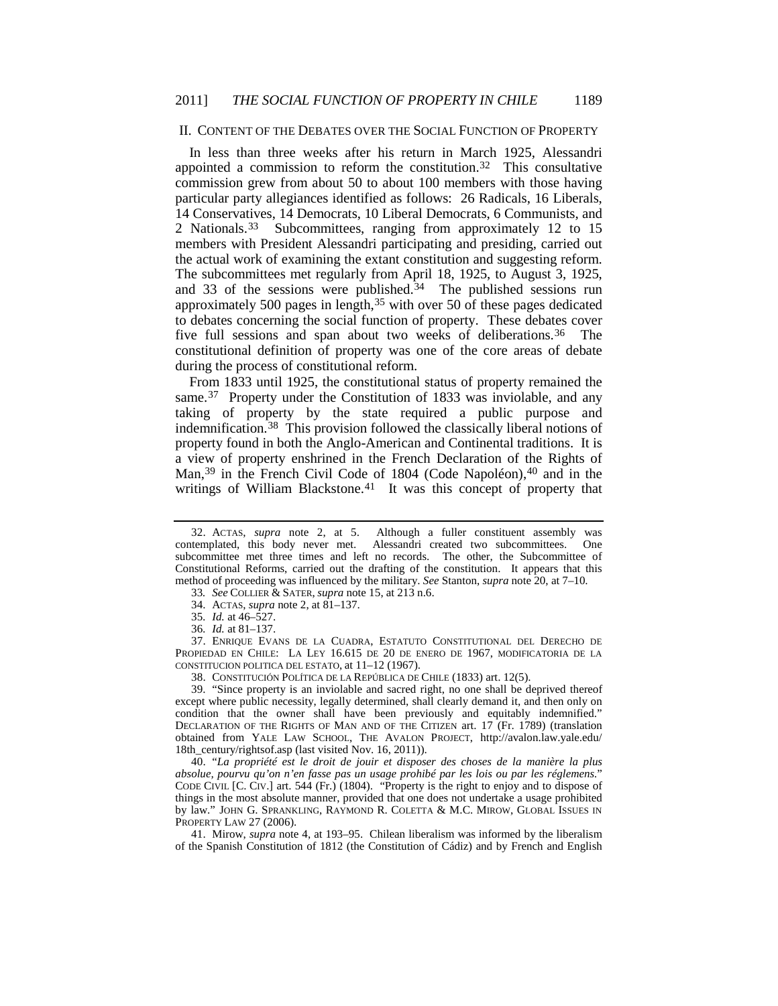#### II. CONTENT OF THE DEBATES OVER THE SOCIAL FUNCTION OF PROPERTY

In less than three weeks after his return in March 1925, Alessandri appointed a commission to reform the constitution.<sup>32</sup> This consultative commission grew from about 50 to about 100 members with those having particular party allegiances identified as follows: 26 Radicals, 16 Liberals, 14 Conservatives, 14 Democrats, 10 Liberal Democrats, 6 Communists, and 2 Nationals.[33](#page-7-1) Subcommittees, ranging from approximately 12 to 15 members with President Alessandri participating and presiding, carried out the actual work of examining the extant constitution and suggesting reform. The subcommittees met regularly from April 18, 1925, to August 3, 1925, and 33 of the sessions were published.<sup>[34](#page-7-2)</sup> The published sessions run approximately 500 pages in length,  $35$  with over 50 of these pages dedicated to debates concerning the social function of property. These debates cover five full sessions and span about two weeks of deliberations.<sup>[36](#page-7-4)</sup> The constitutional definition of property was one of the core areas of debate during the process of constitutional reform.

<span id="page-7-10"></span>From 1833 until 1925, the constitutional status of property remained the same.<sup>[37](#page-7-5)</sup> Property under the Constitution of 1833 was inviolable, and any taking of property by the state required a public purpose and indemnification.[38](#page-7-6) This provision followed the classically liberal notions of property found in both the Anglo-American and Continental traditions. It is a view of property enshrined in the French Declaration of the Rights of Man,<sup>39</sup> in the French Civil Code of 1804 (Code Napoléon),<sup>[40](#page-7-8)</sup> and in the writings of William Blackstone.<sup>[41](#page-7-9)</sup> It was this concept of property that

38. CONSTITUCIÓN POLÍTICA DE LA REPÚBLICA DE CHILE (1833) art. 12(5).

<span id="page-7-7"></span><span id="page-7-6"></span>39. "Since property is an inviolable and sacred right, no one shall be deprived thereof except where public necessity, legally determined, shall clearly demand it, and then only on condition that the owner shall have been previously and equitably indemnified." DECLARATION OF THE RIGHTS OF MAN AND OF THE CITIZEN art. 17 (Fr. 1789) (translation obtained from YALE LAW SCHOOL, THE AVALON PROJECT, http://avalon.law.yale.edu/ 18th\_century/rightsof.asp (last visited Nov. 16, 2011)).

<span id="page-7-8"></span>40. "*La propriété est le droit de jouir et disposer des choses de la manière la plus absolue, pourvu qu'on n'en fasse pas un usage prohibé par les lois ou par les réglemens.*" CODE CIVIL [C. CIV.] art. 544 (Fr.) (1804). "Property is the right to enjoy and to dispose of things in the most absolute manner, provided that one does not undertake a usage prohibited by law." JOHN G. SPRANKLING, RAYMOND R. COLETTA & M.C. MIROW, GLOBAL ISSUES IN PROPERTY LAW 27 (2006).

<span id="page-7-9"></span>41. Mirow, *supra* note [4,](#page-2-3) at 193–95. Chilean liberalism was informed by the liberalism of the Spanish Constitution of 1812 (the Constitution of Cádiz) and by French and English

<span id="page-7-0"></span><sup>32.</sup> ACTAS, *supra* note Although a fuller constituent assembly was contemplated, this body never met. Alessandri created two subcommittees. One subcommittee met three times and left no records. The other, the Subcommittee of Constitutional Reforms, carried out the drafting of the constitution. It appears that this method of proceeding was influenced by the military. *See* Stanton, *supra* not[e 20,](#page-6-0) at 7–10.

<sup>33</sup>*. See* COLLIER & SATER, *supra* not[e 15,](#page-5-9) at 213 n.6.

<sup>34.</sup> ACTAS, *supra* not[e 2,](#page-1-3) at 81–137.

<sup>35</sup>*. Id.* at 46–527.

<sup>36</sup>*. Id.* at 81–137.

<span id="page-7-5"></span><span id="page-7-4"></span><span id="page-7-3"></span><span id="page-7-2"></span><span id="page-7-1"></span><sup>37.</sup> ENRIQUE EVANS DE LA CUADRA, ESTATUTO CONSTITUTIONAL DEL DERECHO DE PROPIEDAD EN CHILE: LA LEY 16.615 DE 20 DE ENERO DE 1967, MODIFICATORIA DE LA CONSTITUCION POLITICA DEL ESTATO, at 11–12 (1967).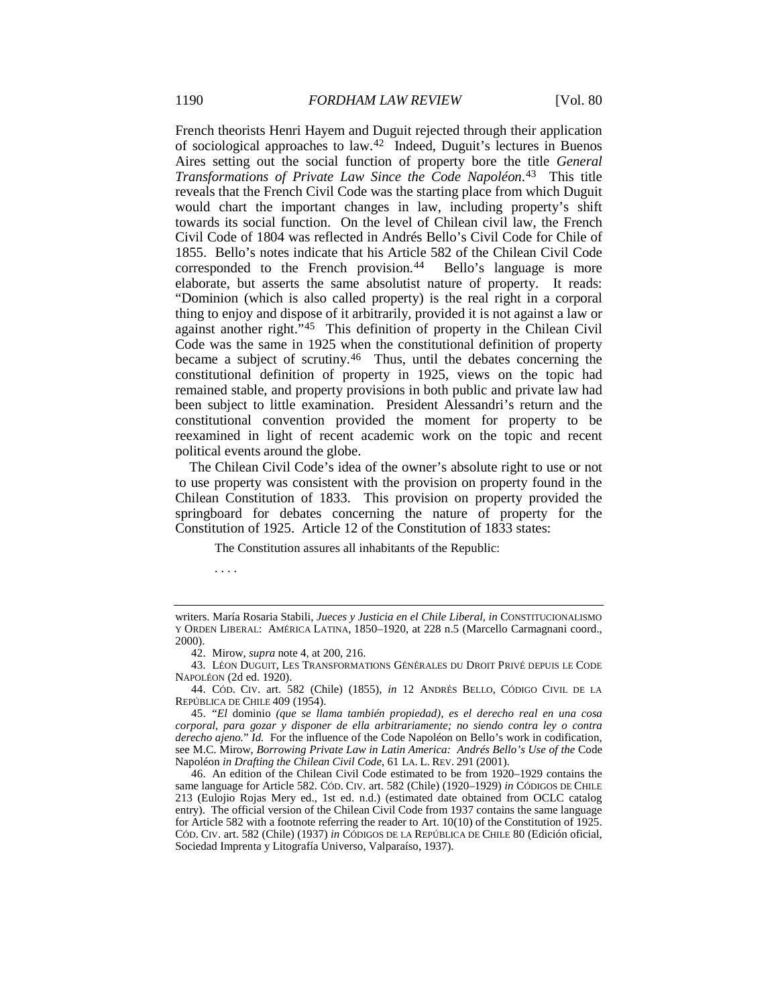<span id="page-8-5"></span>French theorists Henri Hayem and Duguit rejected through their application of sociological approaches to law.[42](#page-8-0) Indeed, Duguit's lectures in Buenos Aires setting out the social function of property bore the title *General Transformations of Private Law Since the Code Napoléon*.[43](#page-8-1) This title reveals that the French Civil Code was the starting place from which Duguit would chart the important changes in law, including property's shift towards its social function. On the level of Chilean civil law, the French Civil Code of 1804 was reflected in Andrés Bello's Civil Code for Chile of 1855. Bello's notes indicate that his Article 582 of the Chilean Civil Code corresponded to the French provision.<sup>44</sup> Bello's language is more elaborate, but asserts the same absolutist nature of property. It reads: "Dominion (which is also called property) is the real right in a corporal thing to enjoy and dispose of it arbitrarily, provided it is not against a law or against another right."<sup>45</sup> This definition of property in the Chilean Civil Code was the same in 1925 when the constitutional definition of property became a subject of scrutiny.[46](#page-8-4) Thus, until the debates concerning the constitutional definition of property in 1925, views on the topic had remained stable, and property provisions in both public and private law had been subject to little examination. President Alessandri's return and the constitutional convention provided the moment for property to be reexamined in light of recent academic work on the topic and recent political events around the globe.

<span id="page-8-8"></span><span id="page-8-7"></span><span id="page-8-6"></span>The Chilean Civil Code's idea of the owner's absolute right to use or not to use property was consistent with the provision on property found in the Chilean Constitution of 1833. This provision on property provided the springboard for debates concerning the nature of property for the Constitution of 1925. Article 12 of the Constitution of 1833 states:

The Constitution assures all inhabitants of the Republic:

. . . .

writers. María Rosaria Stabili, *Jueces y Justicia en el Chile Liberal*, *in* CONSTITUCIONALISMO Y ORDEN LIBERAL: AMÉRICA LATINA, 1850–1920, at 228 n.5 (Marcello Carmagnani coord., 2000).

<sup>42.</sup> Mirow, *supra* not[e 4,](#page-2-3) at 200, 216.

<span id="page-8-1"></span><span id="page-8-0"></span><sup>43.</sup> LÉON DUGUIT, LES TRANSFORMATIONS GÉNÉRALES DU DROIT PRIVÉ DEPUIS LE CODE NAPOLÉON (2d ed. 1920).

<span id="page-8-2"></span><sup>44.</sup> CÓD. CIV. art. 582 (Chile) (1855), *in* 12 ANDRÉS BELLO, CÓDIGO CIVIL DE LA REPÚBLICA DE CHILE 409 (1954).

<span id="page-8-3"></span><sup>45.</sup> "*El* dominio *(que se llama también propiedad), es el derecho real en una cosa corporal, para gozar y disponer de ella arbitrariamente; no siendo contra ley o contra derecho ajeno.*" *Id.* For the influence of the Code Napoléon on Bello's work in codification, see M.C. Mirow, *Borrowing Private Law in Latin America: Andrés Bello's Use of the* Code Napoléon *in Drafting the Chilean Civil Code*, 61 LA. L. REV. 291 (2001).

<span id="page-8-4"></span><sup>46.</sup> An edition of the Chilean Civil Code estimated to be from 1920–1929 contains the same language for Article 582. CÓD. CIV. art. 582 (Chile) (1920–1929) *in* CÓDIGOS DE CHILE 213 (Eulojio Rojas Mery ed., 1st ed. n.d.) (estimated date obtained from OCLC catalog entry). The official version of the Chilean Civil Code from 1937 contains the same language for Article 582 with a footnote referring the reader to Art. 10(10) of the Constitution of 1925. CÓD. CIV. art. 582 (Chile) (1937) *in* CÓDIGOS DE LA REPÚBLICA DE CHILE 80 (Edición oficial, Sociedad Imprenta y Litografía Universo, Valparaíso, 1937).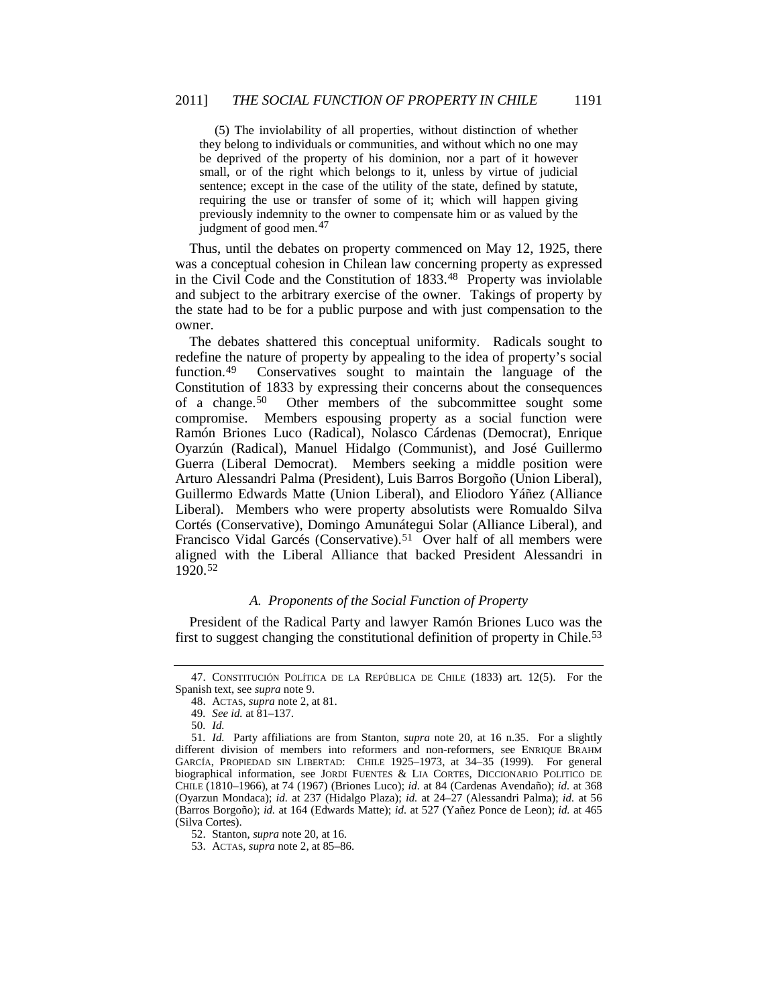<span id="page-9-0"></span>(5) The inviolability of all properties, without distinction of whether they belong to individuals or communities, and without which no one may be deprived of the property of his dominion, nor a part of it however small, or of the right which belongs to it, unless by virtue of judicial sentence; except in the case of the utility of the state, defined by statute, requiring the use or transfer of some of it; which will happen giving previously indemnity to the owner to compensate him or as valued by the judgment of good men.<sup>[47](#page-9-1)</sup>

Thus, until the debates on property commenced on May 12, 1925, there was a conceptual cohesion in Chilean law concerning property as expressed in the Civil Code and the Constitution of 1833[.48](#page-9-2) Property was inviolable and subject to the arbitrary exercise of the owner. Takings of property by the state had to be for a public purpose and with just compensation to the owner.

The debates shattered this conceptual uniformity. Radicals sought to redefine the nature of property by appealing to the idea of property's social function.<sup>49</sup> Conservatives sought to maintain the language of the Constitution of 1833 by expressing their concerns about the consequences of a change.[50](#page-9-4) Other members of the subcommittee sought some compromise. Members espousing property as a social function were Ramón Briones Luco (Radical), Nolasco Cárdenas (Democrat), Enrique Oyarzún (Radical), Manuel Hidalgo (Communist), and José Guillermo Guerra (Liberal Democrat). Members seeking a middle position were Arturo Alessandri Palma (President), Luis Barros Borgoño (Union Liberal), Guillermo Edwards Matte (Union Liberal), and Eliodoro Yáñez (Alliance Liberal). Members who were property absolutists were Romualdo Silva Cortés (Conservative), Domingo Amunátegui Solar (Alliance Liberal), and Francisco Vidal Garcés (Conservative).<sup>51</sup> Over half of all members were aligned with the Liberal Alliance that backed President Alessandri in 1920.[52](#page-9-6)

# <span id="page-9-8"></span>*A. Proponents of the Social Function of Property*

President of the Radical Party and lawyer Ramón Briones Luco was the first to suggest changing the constitutional definition of property in Chile.[53](#page-9-7) 

<span id="page-9-2"></span><span id="page-9-1"></span><sup>47.</sup> CONSTITUCIÓN POLÍTICA DE LA REPÚBLICA DE CHILE (1833) art. 12(5). For the Spanish text, see *supra* note [9.](#page-4-3)

<sup>48.</sup> ACTAS, *supra* not[e 2,](#page-1-3) at 81.

<sup>49</sup>*. See id.* at 81–137.

<sup>50</sup>*. Id.*

<span id="page-9-5"></span><span id="page-9-4"></span><span id="page-9-3"></span><sup>51</sup>*. Id.* Party affiliations are from Stanton, *supra* note [20,](#page-6-0) at 16 n.35. For a slightly different division of members into reformers and non-reformers, see ENRIQUE BRAHM GARCÍA, PROPIEDAD SIN LIBERTAD: CHILE 1925–1973, at 34–35 (1999). For general biographical information, see JORDI FUENTES & LIA CORTES, DICCIONARIO POLITICO DE CHILE (1810–1966), at 74 (1967) (Briones Luco); *id.* at 84 (Cardenas Avendaño); *id.* at 368 (Oyarzun Mondaca); *id.* at 237 (Hidalgo Plaza); *id.* at 24–27 (Alessandri Palma); *id.* at 56 (Barros Borgoño); *id.* at 164 (Edwards Matte); *id.* at 527 (Yañez Ponce de Leon); *id.* at 465 (Silva Cortes).

<sup>52.</sup> Stanton, *supra* not[e 20,](#page-6-0) at 16.

<span id="page-9-7"></span><span id="page-9-6"></span><sup>53.</sup> ACTAS, *supra* not[e 2,](#page-1-3) at 85–86.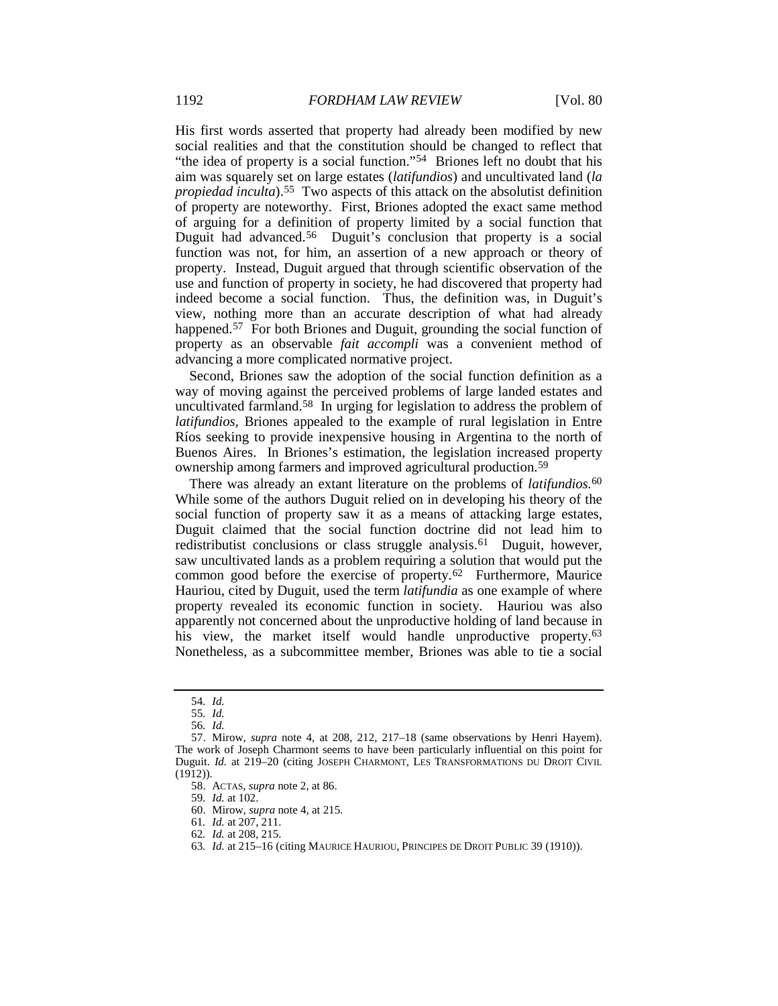His first words asserted that property had already been modified by new social realities and that the constitution should be changed to reflect that "the idea of property is a social function."[54](#page-10-0) Briones left no doubt that his aim was squarely set on large estates (*latifundios*) and uncultivated land (*la propiedad inculta*).[55](#page-10-1) Two aspects of this attack on the absolutist definition of property are noteworthy. First, Briones adopted the exact same method of arguing for a definition of property limited by a social function that Duguit had advanced.<sup>[56](#page-10-2)</sup> Duguit's conclusion that property is a social function was not, for him, an assertion of a new approach or theory of property. Instead, Duguit argued that through scientific observation of the use and function of property in society, he had discovered that property had indeed become a social function. Thus, the definition was, in Duguit's view, nothing more than an accurate description of what had already happened.<sup>[57](#page-10-3)</sup> For both Briones and Duguit, grounding the social function of property as an observable *fait accompli* was a convenient method of advancing a more complicated normative project.

Second, Briones saw the adoption of the social function definition as a way of moving against the perceived problems of large landed estates and uncultivated farmland. [58](#page-10-4) In urging for legislation to address the problem of *latifundios*, Briones appealed to the example of rural legislation in Entre Ríos seeking to provide inexpensive housing in Argentina to the north of Buenos Aires. In Briones's estimation, the legislation increased property ownership among farmers and improved agricultural production.[59](#page-10-5)

There was already an extant literature on the problems of *latifundios*.[60](#page-10-6) While some of the authors Duguit relied on in developing his theory of the social function of property saw it as a means of attacking large estates, Duguit claimed that the social function doctrine did not lead him to redistributist conclusions or class struggle analysis.[61](#page-10-7) Duguit, however, saw uncultivated lands as a problem requiring a solution that would put the common good before the exercise of property.[62](#page-10-8) Furthermore, Maurice Hauriou, cited by Duguit, used the term *latifundia* as one example of where property revealed its economic function in society. Hauriou was also apparently not concerned about the unproductive holding of land because in his view, the market itself would handle unproductive property.<sup>[63](#page-10-9)</sup> Nonetheless, as a subcommittee member, Briones was able to tie a social

59*. Id.* at 102.

<sup>54</sup>*. Id.*

<sup>55</sup>*. Id.*

<sup>56</sup>*. Id.*

<span id="page-10-6"></span><span id="page-10-5"></span><span id="page-10-4"></span><span id="page-10-3"></span><span id="page-10-2"></span><span id="page-10-1"></span><span id="page-10-0"></span><sup>57.</sup> Mirow, *supra* note [4,](#page-2-3) at 208, 212, 217–18 (same observations by Henri Hayem). The work of Joseph Charmont seems to have been particularly influential on this point for Duguit. *Id.* at 219-20 (citing JOSEPH CHARMONT, LES TRANSFORMATIONS DU DROIT CIVIL  $(1912)$ ).

<sup>58.</sup> ACTAS, *supra* not[e 2,](#page-1-3) at 86.

<sup>60.</sup> Mirow, *supra* not[e 4,](#page-2-3) at 215.

<span id="page-10-7"></span><sup>61</sup>*. Id.* at 207, 211.

<span id="page-10-8"></span><sup>62</sup>*. Id.* at 208, 215.

<span id="page-10-9"></span><sup>63</sup>*. Id.* at 215–16 (citing MAURICE HAURIOU, PRINCIPES DE DROIT PUBLIC 39 (1910)).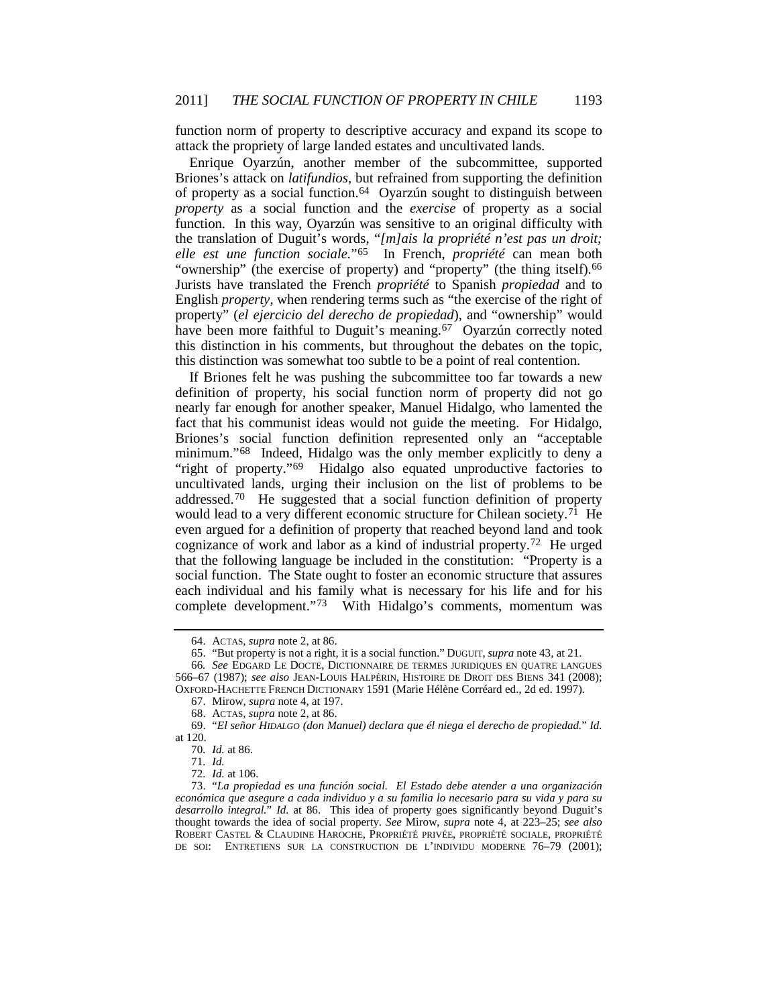function norm of property to descriptive accuracy and expand its scope to attack the propriety of large landed estates and uncultivated lands.

<span id="page-11-10"></span>Enrique Oyarzún, another member of the subcommittee, supported Briones's attack on *latifundios*, but refrained from supporting the definition of property as a social function.[64](#page-11-0) Oyarzún sought to distinguish between *property* as a social function and the *exercise* of property as a social function. In this way, Oyarzún was sensitive to an original difficulty with the translation of Duguit's words, "*[m]ais la propriété n'est pas un droit; elle est une function sociale.*"[65](#page-11-1) In French, *propriété* can mean both "ownership" (the exercise of property) and "property" (the thing itself).<sup>[66](#page-11-2)</sup> Jurists have translated the French *propriété* to Spanish *propiedad* and to English *property*, when rendering terms such as "the exercise of the right of property" (*el ejercicio del derecho de propiedad*), and "ownership" would have been more faithful to Duguit's meaning.<sup>[67](#page-11-3)</sup> Oyarzún correctly noted this distinction in his comments, but throughout the debates on the topic, this distinction was somewhat too subtle to be a point of real contention.

If Briones felt he was pushing the subcommittee too far towards a new definition of property, his social function norm of property did not go nearly far enough for another speaker, Manuel Hidalgo, who lamented the fact that his communist ideas would not guide the meeting. For Hidalgo, Briones's social function definition represented only an "acceptable minimum." [68](#page-11-4) Indeed, Hidalgo was the only member explicitly to deny a "right of property."[69](#page-11-5) Hidalgo also equated unproductive factories to uncultivated lands, urging their inclusion on the list of problems to be addressed.[70](#page-11-6) He suggested that a social function definition of property would lead to a very different economic structure for Chilean society.<sup>[71](#page-11-7)</sup> He even argued for a definition of property that reached beyond land and took cognizance of work and labor as a kind of industrial property.[72](#page-11-8) He urged that the following language be included in the constitution: "Property is a social function. The State ought to foster an economic structure that assures each individual and his family what is necessary for his life and for his complete development."<sup>[73](#page-11-9)</sup> With Hidalgo's comments, momentum was

<sup>64.</sup> ACTAS, *supra* note [2,](#page-1-3) at 86.

<sup>65.</sup> "But property is not a right, it is a social function." DUGUIT, *supra* not[e 43,](#page-8-5) at 21.

<span id="page-11-2"></span><span id="page-11-1"></span><span id="page-11-0"></span><sup>66</sup>*. See* EDGARD LE DOCTE, DICTIONNAIRE DE TERMES JURIDIQUES EN QUATRE LANGUES 566–67 (1987); *see also* JEAN-LOUIS HALPÉRIN, HISTOIRE DE DROIT DES BIENS 341 (2008); OXFORD-HACHETTE FRENCH DICTIONARY 1591 (Marie Hélène Corréard ed., 2d ed. 1997).

<sup>67.</sup> Mirow, *supra* not[e 4,](#page-2-3) at 197.

<sup>68.</sup> ACTAS, *supra* not[e 2,](#page-1-3) at 86.

<span id="page-11-6"></span><span id="page-11-5"></span><span id="page-11-4"></span><span id="page-11-3"></span><sup>69.</sup> "*El señor HIDALGO (don Manuel) declara que él niega el derecho de propiedad.*" *Id.* at 120.

<sup>70</sup>*. Id.* at 86.

<sup>71</sup>*. Id.*

<sup>72</sup>*. Id.* at 106.

<span id="page-11-9"></span><span id="page-11-8"></span><span id="page-11-7"></span><sup>73.</sup> "*La propiedad es una función social. El Estado debe atender a una organización económica que asegure a cada individuo y a su familia lo necesario para su vida y para su desarrollo integral.*" *Id.* at 86. This idea of property goes significantly beyond Duguit's thought towards the idea of social property. *See* Mirow, *supra* note [4,](#page-2-3) at 223–25; *see also* ROBERT CASTEL & CLAUDINE HAROCHE, PROPRIÉTÉ PRIVÉE, PROPRIÉTÉ SOCIALE, PROPRIÉTÉ DE SOI: ENTRETIENS SUR LA CONSTRUCTION DE L'INDIVIDU MODERNE 76–79 (2001);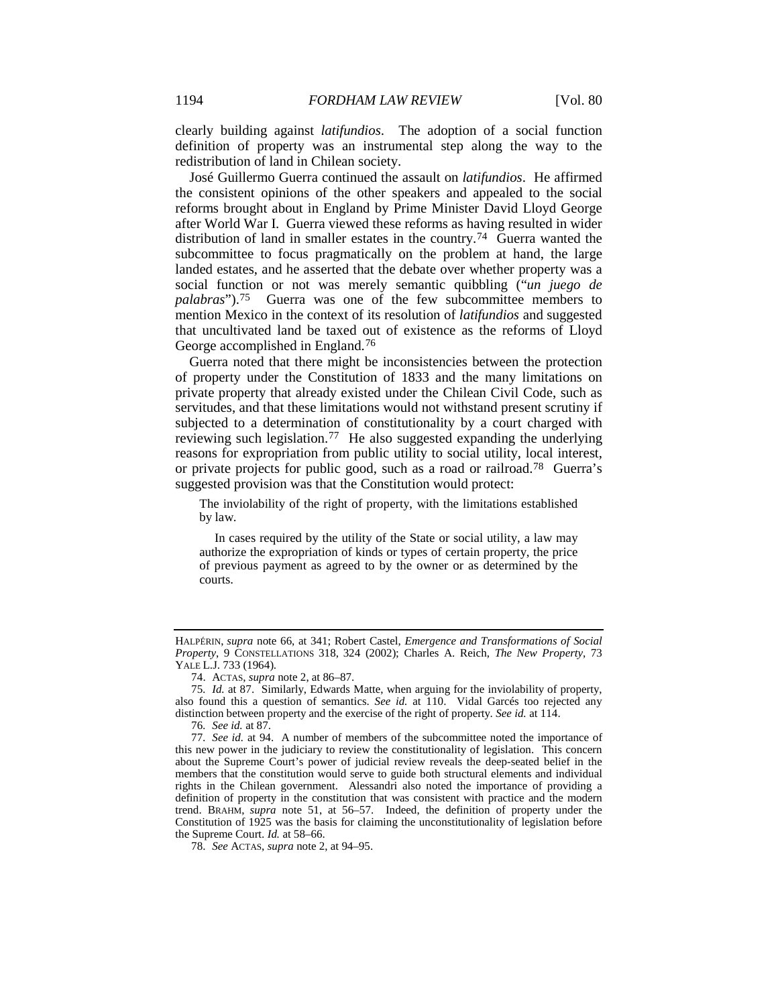clearly building against *latifundios*. The adoption of a social function definition of property was an instrumental step along the way to the redistribution of land in Chilean society.

José Guillermo Guerra continued the assault on *latifundios*. He affirmed the consistent opinions of the other speakers and appealed to the social reforms brought about in England by Prime Minister David Lloyd George after World War I. Guerra viewed these reforms as having resulted in wider distribution of land in smaller estates in the country.<sup>74</sup> Guerra wanted the subcommittee to focus pragmatically on the problem at hand, the large landed estates, and he asserted that the debate over whether property was a social function or not was merely semantic quibbling ("*un juego de palabras*").[75](#page-12-1) Guerra was one of the few subcommittee members to mention Mexico in the context of its resolution of *latifundios* and suggested that uncultivated land be taxed out of existence as the reforms of Lloyd George accomplished in England.[76](#page-12-2)

Guerra noted that there might be inconsistencies between the protection of property under the Constitution of 1833 and the many limitations on private property that already existed under the Chilean Civil Code, such as servitudes, and that these limitations would not withstand present scrutiny if subjected to a determination of constitutionality by a court charged with reviewing such legislation.[77](#page-12-3) He also suggested expanding the underlying reasons for expropriation from public utility to social utility, local interest, or private projects for public good, such as a road or railroad.[78](#page-12-4) Guerra's suggested provision was that the Constitution would protect:

<span id="page-12-5"></span>The inviolability of the right of property, with the limitations established by law.

In cases required by the utility of the State or social utility, a law may authorize the expropriation of kinds or types of certain property, the price of previous payment as agreed to by the owner or as determined by the courts.

76*. See id.* at 87.

HALPÉRIN, *supra* note [66,](#page-11-10) at 341; Robert Castel, *Emergence and Transformations of Social Property*, 9 CONSTELLATIONS 318, 324 (2002); Charles A. Reich, *The New Property*, 73 YALE L.J. 733 (1964).

<sup>74.</sup> ACTAS, *supra* not[e 2,](#page-1-3) at 86–87.

<span id="page-12-1"></span><span id="page-12-0"></span><sup>75</sup>*. Id.* at 87. Similarly, Edwards Matte, when arguing for the inviolability of property, also found this a question of semantics. *See id.* at 110. Vidal Garcés too rejected any distinction between property and the exercise of the right of property. *See id.* at 114.

<span id="page-12-3"></span><span id="page-12-2"></span><sup>77</sup>*. See id.* at 94. A number of members of the subcommittee noted the importance of this new power in the judiciary to review the constitutionality of legislation. This concern about the Supreme Court's power of judicial review reveals the deep-seated belief in the members that the constitution would serve to guide both structural elements and individual rights in the Chilean government. Alessandri also noted the importance of providing a definition of property in the constitution that was consistent with practice and the modern trend. BRAHM, *supra* note [51,](#page-9-8) at 56–57. Indeed, the definition of property under the Constitution of 1925 was the basis for claiming the unconstitutionality of legislation before the Supreme Court. *Id.* at 58–66.

<span id="page-12-4"></span><sup>78.</sup> *See* ACTAS, *supra* not[e 2,](#page-1-3) at 94–95.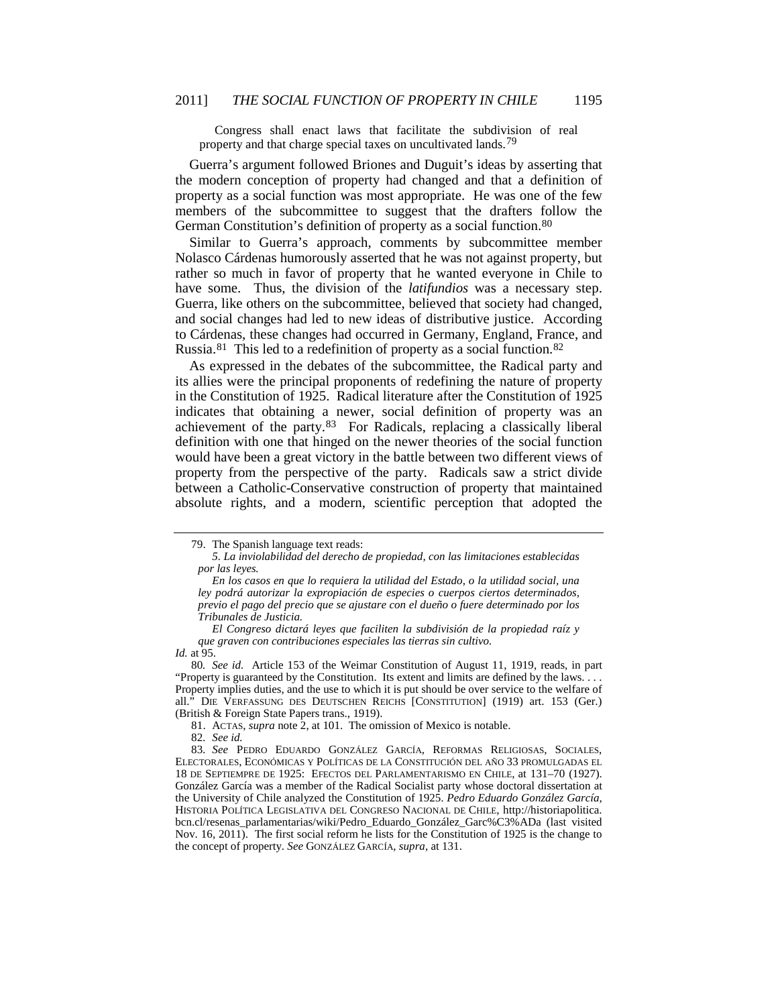Congress shall enact laws that facilitate the subdivision of real property and that charge special taxes on uncultivated lands.<sup>[79](#page-13-0)</sup>

Guerra's argument followed Briones and Duguit's ideas by asserting that the modern conception of property had changed and that a definition of property as a social function was most appropriate. He was one of the few members of the subcommittee to suggest that the drafters follow the German Constitution's definition of property as a social function.<sup>[80](#page-13-1)</sup>

Similar to Guerra's approach, comments by subcommittee member Nolasco Cárdenas humorously asserted that he was not against property, but rather so much in favor of property that he wanted everyone in Chile to have some. Thus, the division of the *latifundios* was a necessary step. Guerra, like others on the subcommittee, believed that society had changed, and social changes had led to new ideas of distributive justice. According to Cárdenas, these changes had occurred in Germany, England, France, and Russia.[81](#page-13-2) This led to a redefinition of property as a social function.[82](#page-13-3)

<span id="page-13-5"></span>As expressed in the debates of the subcommittee, the Radical party and its allies were the principal proponents of redefining the nature of property in the Constitution of 1925. Radical literature after the Constitution of 1925 indicates that obtaining a newer, social definition of property was an achievement of the party.<sup>[83](#page-13-4)</sup> For Radicals, replacing a classically liberal definition with one that hinged on the newer theories of the social function would have been a great victory in the battle between two different views of property from the perspective of the party. Radicals saw a strict divide between a Catholic-Conservative construction of property that maintained absolute rights, and a modern, scientific perception that adopted the

81. ACTAS, *supra* not[e 2,](#page-1-3) at 101. The omission of Mexico is notable.

82*. See id.*

<span id="page-13-0"></span><sup>79.</sup> The Spanish language text reads:

*<sup>5.</sup> La inviolabilidad del derecho de propiedad, con las limitaciones establecidas por las leyes.*

*En los casos en que lo requiera la utilidad del Estado, o la utilidad social, una ley podrá autorizar la expropiación de especies o cuerpos ciertos determinados, previo el pago del precio que se ajustare con el dueño o fuere determinado por los Tribunales de Justicia.*

*El Congreso dictará leyes que faciliten la subdivisión de la propiedad raíz y que graven con contribuciones especiales las tierras sin cultivo. Id.* at 95.

<span id="page-13-1"></span><sup>80</sup>*. See id.* Article 153 of the Weimar Constitution of August 11, 1919, reads, in part "Property is guaranteed by the Constitution. Its extent and limits are defined by the laws. . . . Property implies duties, and the use to which it is put should be over service to the welfare of all." DIE VERFASSUNG DES DEUTSCHEN REICHS [CONSTITUTION] (1919) art. 153 (Ger.) (British & Foreign State Papers trans., 1919).

<span id="page-13-4"></span><span id="page-13-3"></span><span id="page-13-2"></span><sup>83</sup>*. See* PEDRO EDUARDO GONZÁLEZ GARCÍA, REFORMAS RELIGIOSAS, SOCIALES, ELECTORALES, ECONÓMICAS Y POLÍTICAS DE LA CONSTITUCIÓN DEL AÑO 33 PROMULGADAS EL 18 DE SEPTIEMPRE DE 1925: EFECTOS DEL PARLAMENTARISMO EN CHILE, at 131–70 (1927). González García was a member of the Radical Socialist party whose doctoral dissertation at the University of Chile analyzed the Constitution of 1925. *Pedro Eduardo González García,*  HISTORIA POLÍTICA LEGISLATIVA DEL CONGRESO NACIONAL DE CHILE*,* http://historiapolitica. bcn.cl/resenas\_parlamentarias/wiki/Pedro\_Eduardo\_González\_Garc%C3%ADa (last visited Nov. 16, 2011). The first social reform he lists for the Constitution of 1925 is the change to the concept of property. *See* GONZÁLEZ GARCÍA, *supra*, at 131.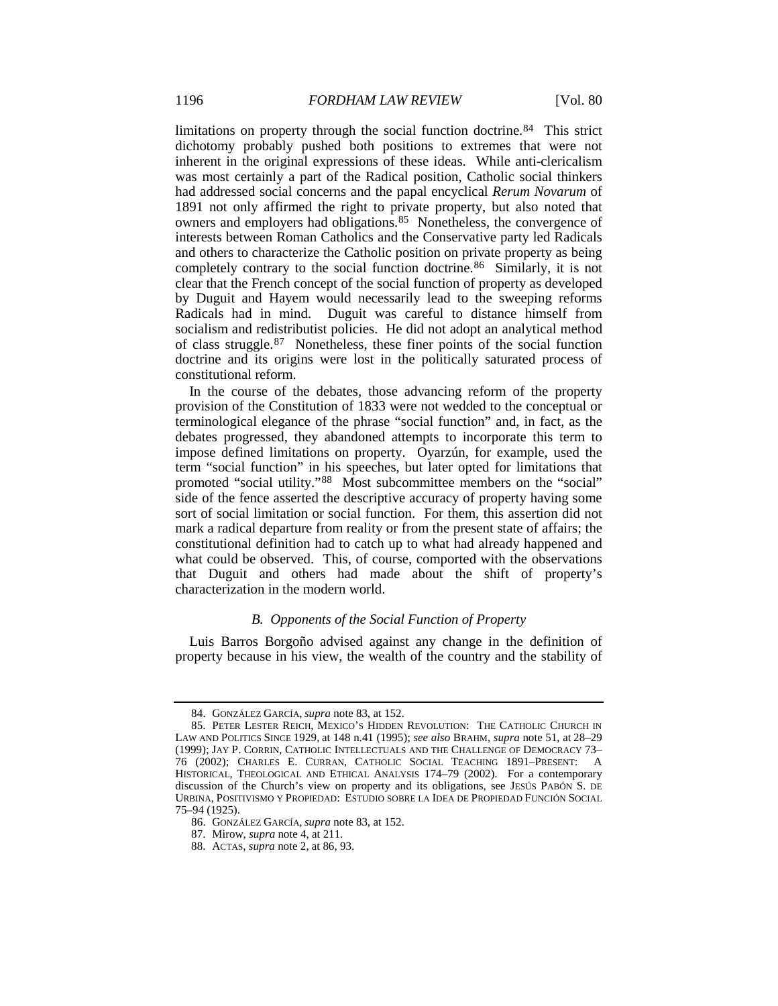limitations on property through the social function doctrine.[84](#page-14-0)This strict dichotomy probably pushed both positions to extremes that were not inherent in the original expressions of these ideas. While anti-clericalism was most certainly a part of the Radical position, Catholic social thinkers had addressed social concerns and the papal encyclical *Rerum Novarum* of 1891 not only affirmed the right to private property, but also noted that owners and employers had obligations.<sup>85</sup> Nonetheless, the convergence of interests between Roman Catholics and the Conservative party led Radicals and others to characterize the Catholic position on private property as being completely contrary to the social function doctrine.[86](#page-14-2) Similarly, it is not clear that the French concept of the social function of property as developed by Duguit and Hayem would necessarily lead to the sweeping reforms Radicals had in mind. Duguit was careful to distance himself from socialism and redistributist policies. He did not adopt an analytical method of class struggle.<sup>[87](#page-14-3)</sup> Nonetheless, these finer points of the social function doctrine and its origins were lost in the politically saturated process of constitutional reform.

In the course of the debates, those advancing reform of the property provision of the Constitution of 1833 were not wedded to the conceptual or terminological elegance of the phrase "social function" and, in fact, as the debates progressed, they abandoned attempts to incorporate this term to impose defined limitations on property. Oyarzún, for example, used the term "social function" in his speeches, but later opted for limitations that promoted "social utility."[88](#page-14-4) Most subcommittee members on the "social" side of the fence asserted the descriptive accuracy of property having some sort of social limitation or social function. For them, this assertion did not mark a radical departure from reality or from the present state of affairs; the constitutional definition had to catch up to what had already happened and what could be observed. This, of course, comported with the observations that Duguit and others had made about the shift of property's characterization in the modern world.

#### *B. Opponents of the Social Function of Property*

Luis Barros Borgoño advised against any change in the definition of property because in his view, the wealth of the country and the stability of

<sup>84.</sup> GONZÁLEZ GARCÍA, *supra* not[e 83,](#page-13-5) at 152.

<span id="page-14-1"></span><span id="page-14-0"></span><sup>85.</sup> PETER LESTER REICH, MEXICO'S HIDDEN REVOLUTION: THE CATHOLIC CHURCH IN LAW AND POLITICS SINCE 1929, at 148 n.41 (1995); *see also* BRAHM, *supra* not[e 51,](#page-9-8) at 28–29 (1999); JAY P. CORRIN, CATHOLIC INTELLECTUALS AND THE CHALLENGE OF DEMOCRACY 73– 76 (2002); CHARLES E. CURRAN, CATHOLIC SOCIAL TEACHING 1891–PRESENT: A HISTORICAL, THEOLOGICAL AND ETHICAL ANALYSIS 174–79 (2002). For a contemporary discussion of the Church's view on property and its obligations, see JESÚS PABÓN S. DE URBINA, POSITIVISMO Y PROPIEDAD: ESTUDIO SOBRE LA IDEA DE PROPIEDAD FUNCIÓN SOCIAL 75–94 (1925).

<span id="page-14-2"></span><sup>86.</sup> GONZÁLEZ GARCÍA, *supra* not[e 83,](#page-13-5) at 152.

<span id="page-14-3"></span><sup>87.</sup> Mirow, *supra* not[e 4,](#page-2-3) at 211.

<span id="page-14-4"></span><sup>88.</sup> ACTAS, *supra* not[e 2,](#page-1-3) at 86, 93.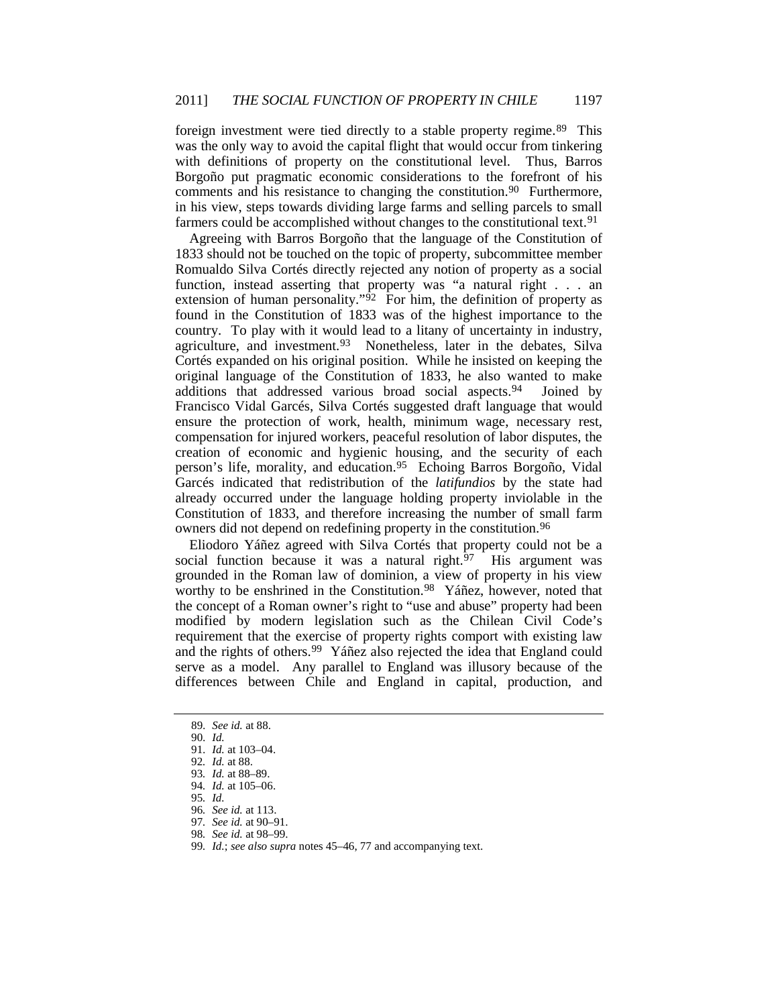foreign investment were tied directly to a stable property regime.<sup>[89](#page-15-0)</sup> This was the only way to avoid the capital flight that would occur from tinkering with definitions of property on the constitutional level. Thus, Barros Borgoño put pragmatic economic considerations to the forefront of his comments and his resistance to changing the constitution.<sup>90</sup> Furthermore, in his view, steps towards dividing large farms and selling parcels to small farmers could be accomplished without changes to the constitutional text.<sup>91</sup>

Agreeing with Barros Borgoño that the language of the Constitution of 1833 should not be touched on the topic of property, subcommittee member Romualdo Silva Cortés directly rejected any notion of property as a social function, instead asserting that property was "a natural right . . . an extension of human personality." $\frac{92}{7}$  $\frac{92}{7}$  $\frac{92}{7}$  For him, the definition of property as found in the Constitution of 1833 was of the highest importance to the country. To play with it would lead to a litany of uncertainty in industry, agriculture, and investment.<sup>93</sup> Nonetheless, later in the debates, Silva Cortés expanded on his original position. While he insisted on keeping the original language of the Constitution of 1833, he also wanted to make additions that addressed various broad social aspects.[94](#page-15-5) Joined by Francisco Vidal Garcés, Silva Cortés suggested draft language that would ensure the protection of work, health, minimum wage, necessary rest, compensation for injured workers, peaceful resolution of labor disputes, the creation of economic and hygienic housing, and the security of each person's life, morality, and education.<sup>[95](#page-15-6)</sup> Echoing Barros Borgoño, Vidal Garcés indicated that redistribution of the *latifundios* by the state had already occurred under the language holding property inviolable in the Constitution of 1833, and therefore increasing the number of small farm owners did not depend on redefining property in the constitution.<sup>[96](#page-15-7)</sup>

Eliodoro Yáñez agreed with Silva Cortés that property could not be a social function because it was a natural right.<sup>[97](#page-15-8)</sup> His argument was grounded in the Roman law of dominion, a view of property in his view worthy to be enshrined in the Constitution.<sup>[98](#page-15-9)</sup> Yáñez, however, noted that the concept of a Roman owner's right to "use and abuse" property had been modified by modern legislation such as the Chilean Civil Code's requirement that the exercise of property rights comport with existing law and the rights of others.<sup>[99](#page-15-10)</sup> Yáñez also rejected the idea that England could serve as a model. Any parallel to England was illusory because of the differences between Chile and England in capital, production, and

<span id="page-15-0"></span><sup>89</sup>*. See id.* at 88.

<span id="page-15-1"></span><sup>90</sup>*. Id.*

<span id="page-15-2"></span><sup>91</sup>*. Id.* at 103–04.

<span id="page-15-3"></span><sup>92</sup>*. Id.* at 88.

<sup>93</sup>*. Id.* at 88–89.

<span id="page-15-6"></span><span id="page-15-5"></span><span id="page-15-4"></span><sup>94</sup>*. Id.* at 105–06.

<sup>95</sup>*. Id.*

<sup>96</sup>*. See id.* at 113.

<span id="page-15-9"></span><span id="page-15-8"></span><span id="page-15-7"></span><sup>97</sup>*. See id.* at 90–91.

<sup>98</sup>*. See id.* at 98–99.

<span id="page-15-10"></span><sup>99</sup>*. Id.*; *see also supra* note[s 45–](#page-8-6)[46,](#page-8-7) [77](#page-12-5) and accompanying text.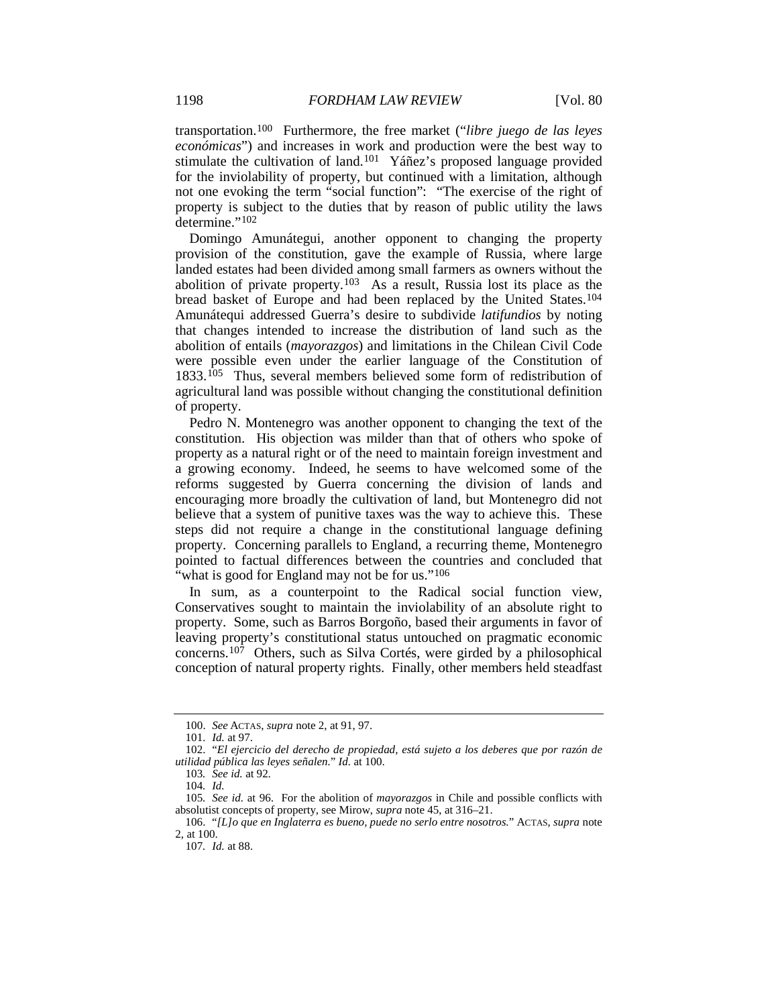transportation.[100](#page-16-0) Furthermore, the free market ("*libre juego de las leyes económicas*") and increases in work and production were the best way to stimulate the cultivation of land[.101](#page-16-1) Yáñez's proposed language provided for the inviolability of property, but continued with a limitation, although not one evoking the term "social function": "The exercise of the right of property is subject to the duties that by reason of public utility the laws determine."[102](#page-16-2)

Domingo Amunátegui, another opponent to changing the property provision of the constitution, gave the example of Russia, where large landed estates had been divided among small farmers as owners without the abolition of private property.<sup>[103](#page-16-3)</sup> As a result, Russia lost its place as the bread basket of Europe and had been replaced by the United States.[104](#page-16-4) Amunátequi addressed Guerra's desire to subdivide *latifundios* by noting that changes intended to increase the distribution of land such as the abolition of entails (*mayorazgos*) and limitations in the Chilean Civil Code were possible even under the earlier language of the Constitution of 1833.[105](#page-16-5) Thus, several members believed some form of redistribution of agricultural land was possible without changing the constitutional definition of property.

Pedro N. Montenegro was another opponent to changing the text of the constitution. His objection was milder than that of others who spoke of property as a natural right or of the need to maintain foreign investment and a growing economy. Indeed, he seems to have welcomed some of the reforms suggested by Guerra concerning the division of lands and encouraging more broadly the cultivation of land, but Montenegro did not believe that a system of punitive taxes was the way to achieve this. These steps did not require a change in the constitutional language defining property. Concerning parallels to England, a recurring theme, Montenegro pointed to factual differences between the countries and concluded that "what is good for England may not be for us."<sup>[106](#page-16-6)</sup>

In sum, as a counterpoint to the Radical social function view, Conservatives sought to maintain the inviolability of an absolute right to property. Some, such as Barros Borgoño, based their arguments in favor of leaving property's constitutional status untouched on pragmatic economic concerns[.107](#page-16-7) Others, such as Silva Cortés, were girded by a philosophical conception of natural property rights. Finally, other members held steadfast

<sup>100.</sup> *See* ACTAS, *supra* note [2,](#page-1-3) at 91, 97.

<sup>101</sup>*. Id.* at 97.

<span id="page-16-2"></span><span id="page-16-1"></span><span id="page-16-0"></span><sup>102.</sup> "*El ejercicio del derecho de propiedad, está sujeto a los deberes que por razón de utilidad pública las leyes señalen.*" *Id.* at 100.

<sup>103</sup>*. See id.* at 92.

<sup>104</sup>*. Id.*

<span id="page-16-5"></span><span id="page-16-4"></span><span id="page-16-3"></span><sup>105</sup>*. See id.* at 96. For the abolition of *mayorazgos* in Chile and possible conflicts with absolutist concepts of property, see Mirow, *supra* not[e 45,](#page-8-8) at 316–21.

<span id="page-16-7"></span><span id="page-16-6"></span><sup>106.</sup> "*[L]o que en Inglaterra es bueno, puede no serlo entre nosotros.*" ACTAS, *supra* note [2,](#page-1-3) at 100.

<sup>107</sup>*. Id.* at 88.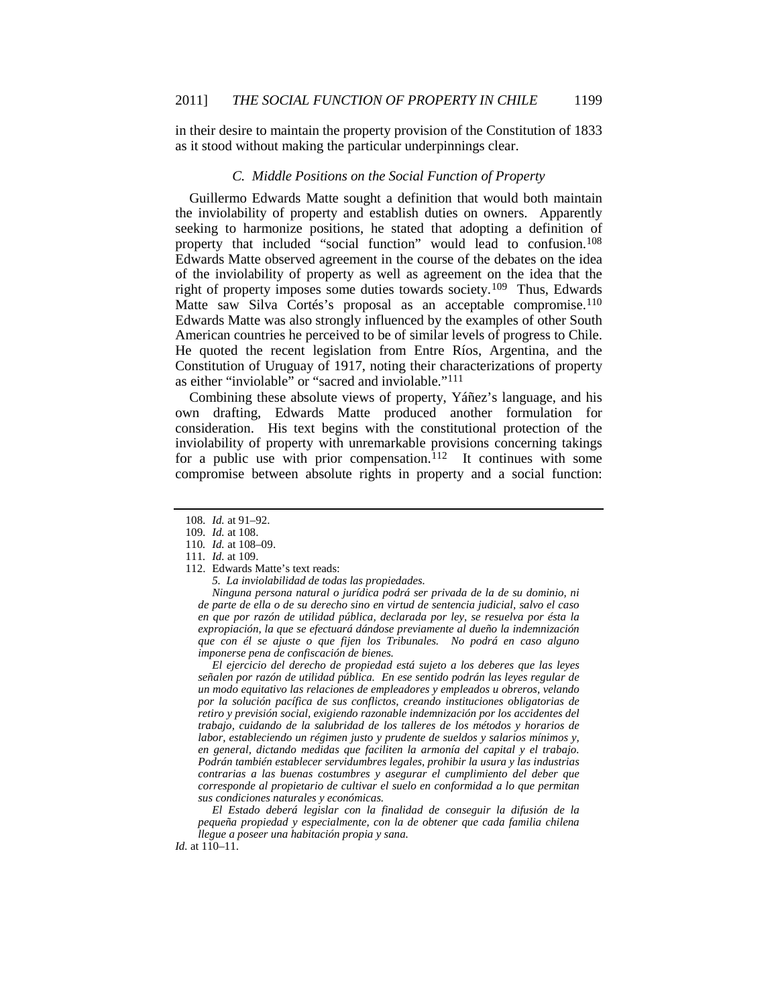in their desire to maintain the property provision of the Constitution of 1833 as it stood without making the particular underpinnings clear.

### *C. Middle Positions on the Social Function of Property*

Guillermo Edwards Matte sought a definition that would both maintain the inviolability of property and establish duties on owners. Apparently seeking to harmonize positions, he stated that adopting a definition of property that included "social function" would lead to confusion.[108](#page-17-0) Edwards Matte observed agreement in the course of the debates on the idea of the inviolability of property as well as agreement on the idea that the right of property imposes some duties towards society.[109](#page-17-1) Thus, Edwards Matte saw Silva Cortés's proposal as an acceptable compromise.<sup>[110](#page-17-2)</sup> Edwards Matte was also strongly influenced by the examples of other South American countries he perceived to be of similar levels of progress to Chile. He quoted the recent legislation from Entre Ríos, Argentina, and the Constitution of Uruguay of 1917, noting their characterizations of property as either "inviolable" or "sacred and inviolable."[111](#page-17-3)

Combining these absolute views of property, Yáñez's language, and his own drafting, Edwards Matte produced another formulation for consideration. His text begins with the constitutional protection of the inviolability of property with unremarkable provisions concerning takings for a public use with prior compensation.<sup>[112](#page-17-4)</sup> It continues with some compromise between absolute rights in property and a social function:

<span id="page-17-4"></span>112. Edwards Matte's text reads:

*Ninguna persona natural o jurídica podrá ser privada de la de su dominio, ni de parte de ella o de su derecho sino en virtud de sentencia judicial, salvo el caso en que por razón de utilidad pública, declarada por ley, se resuelva por ésta la expropiación, la que se efectuará dándose previamente al dueño la indemnización que con él se ajuste o que fijen los Tribunales. No podrá en caso alguno imponerse pena de confiscación de bienes.*

*El ejercicio del derecho de propiedad está sujeto a los deberes que las leyes señalen por razón de utilidad pública. En ese sentido podrán las leyes regular de un modo equitativo las relaciones de empleadores y empleados u obreros, velando por la solución pacífica de sus conflictos, creando instituciones obligatorias de retiro y previsión social, exigiendo razonable indemnización por los accidentes del trabajo, cuidando de la salubridad de los talleres de los métodos y horarios de labor, estableciendo un régimen justo y prudente de sueldos y salarios mínimos y, en general, dictando medidas que faciliten la armonía del capital y el trabajo. Podrán también establecer servidumbres legales, prohibir la usura y las industrias contrarias a las buenas costumbres y asegurar el cumplimiento del deber que corresponde al propietario de cultivar el suelo en conformidad a lo que permitan sus condiciones naturales y económicas.*

*El Estado deberá legislar con la finalidad de conseguir la difusión de la pequeña propiedad y especialmente, con la de obtener que cada familia chilena llegue a poseer una habitación propia y sana.*

*Id.* at 110–11.

<sup>108</sup>*. Id.* at 91–92.

<span id="page-17-2"></span><span id="page-17-1"></span><span id="page-17-0"></span><sup>109</sup>*. Id.* at 108.

<sup>110</sup>*. Id.* at 108–09.

<span id="page-17-3"></span><sup>111</sup>*. Id.* at 109.

*<sup>5.</sup> La inviolabilidad de todas las propiedades.*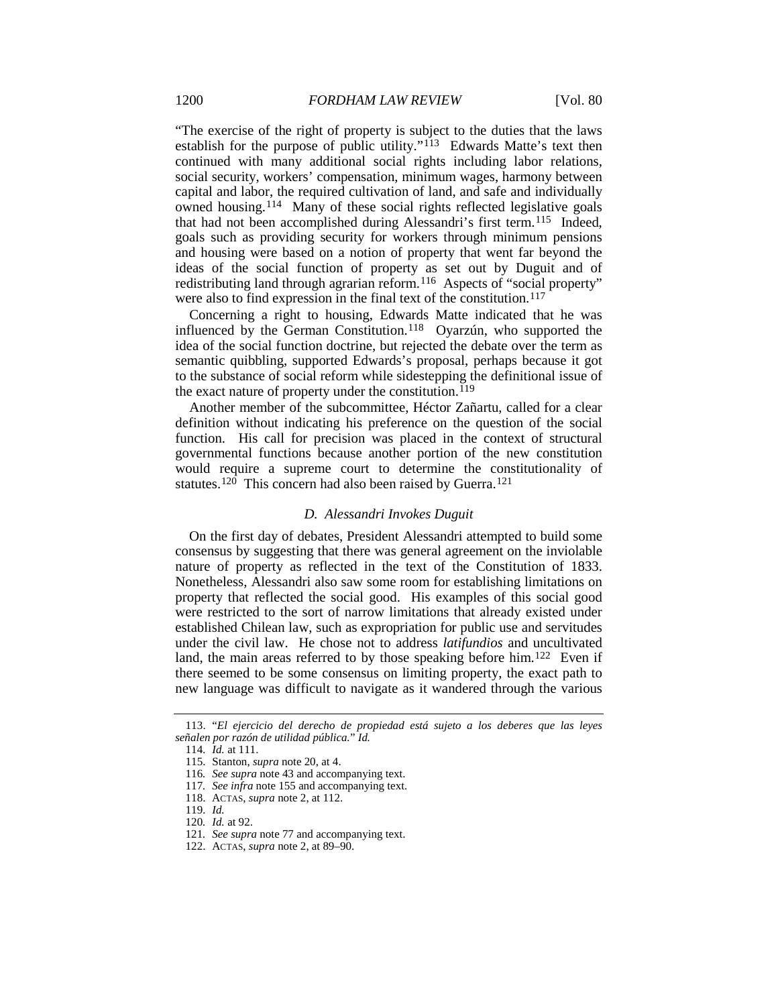"The exercise of the right of property is subject to the duties that the laws establish for the purpose of public utility."<sup>113</sup> Edwards Matte's text then continued with many additional social rights including labor relations, social security, workers' compensation, minimum wages, harmony between capital and labor, the required cultivation of land, and safe and individually owned housing.[114](#page-18-1) Many of these social rights reflected legislative goals that had not been accomplished during Alessandri's first term.[115](#page-18-2) Indeed, goals such as providing security for workers through minimum pensions and housing were based on a notion of property that went far beyond the ideas of the social function of property as set out by Duguit and of redistributing land through agrarian reform.<sup>[116](#page-18-3)</sup> Aspects of "social property" were also to find expression in the final text of the constitution.<sup>[117](#page-18-4)</sup>

Concerning a right to housing, Edwards Matte indicated that he was influenced by the German Constitution.<sup>118</sup> Oyarzún, who supported the idea of the social function doctrine, but rejected the debate over the term as semantic quibbling, supported Edwards's proposal, perhaps because it got to the substance of social reform while sidestepping the definitional issue of the exact nature of property under the constitution.<sup>[119](#page-18-6)</sup>

Another member of the subcommittee, Héctor Zañartu, called for a clear definition without indicating his preference on the question of the social function. His call for precision was placed in the context of structural governmental functions because another portion of the new constitution would require a supreme court to determine the constitutionality of statutes.<sup>[120](#page-18-7)</sup> This concern had also been raised by Guerra.<sup>[121](#page-18-8)</sup>

#### *D. Alessandri Invokes Duguit*

On the first day of debates, President Alessandri attempted to build some consensus by suggesting that there was general agreement on the inviolable nature of property as reflected in the text of the Constitution of 1833. Nonetheless, Alessandri also saw some room for establishing limitations on property that reflected the social good. His examples of this social good were restricted to the sort of narrow limitations that already existed under established Chilean law, such as expropriation for public use and servitudes under the civil law. He chose not to address *latifundios* and uncultivated land, the main areas referred to by those speaking before him.<sup>[122](#page-18-9)</sup> Even if there seemed to be some consensus on limiting property, the exact path to new language was difficult to navigate as it wandered through the various

<span id="page-18-3"></span><span id="page-18-2"></span><span id="page-18-1"></span><span id="page-18-0"></span><sup>113.</sup> "*El ejercicio del derecho de propiedad está sujeto a los deberes que las leyes señalen por razón de utilidad pública.*" *Id.*

<sup>114</sup>*. Id.* at 111.

<sup>115.</sup> Stanton, *supra* not[e 20,](#page-6-0) at 4.

<sup>116</sup>*. See supra* not[e 43](#page-8-5) and accompanying text.

<sup>117</sup>*. See infra* not[e 155](#page-23-0) and accompanying text.

<span id="page-18-5"></span><span id="page-18-4"></span><sup>118.</sup> ACTAS, *supra* not[e 2,](#page-1-3) at 112.

<span id="page-18-7"></span><span id="page-18-6"></span><sup>119</sup>*. Id.*

<sup>120</sup>*. Id.* at 92.

<sup>121</sup>*. See supra* not[e 77](#page-12-5) and accompanying text.

<span id="page-18-9"></span><span id="page-18-8"></span><sup>122.</sup> ACTAS, *supra* not[e 2,](#page-1-3) at 89–90.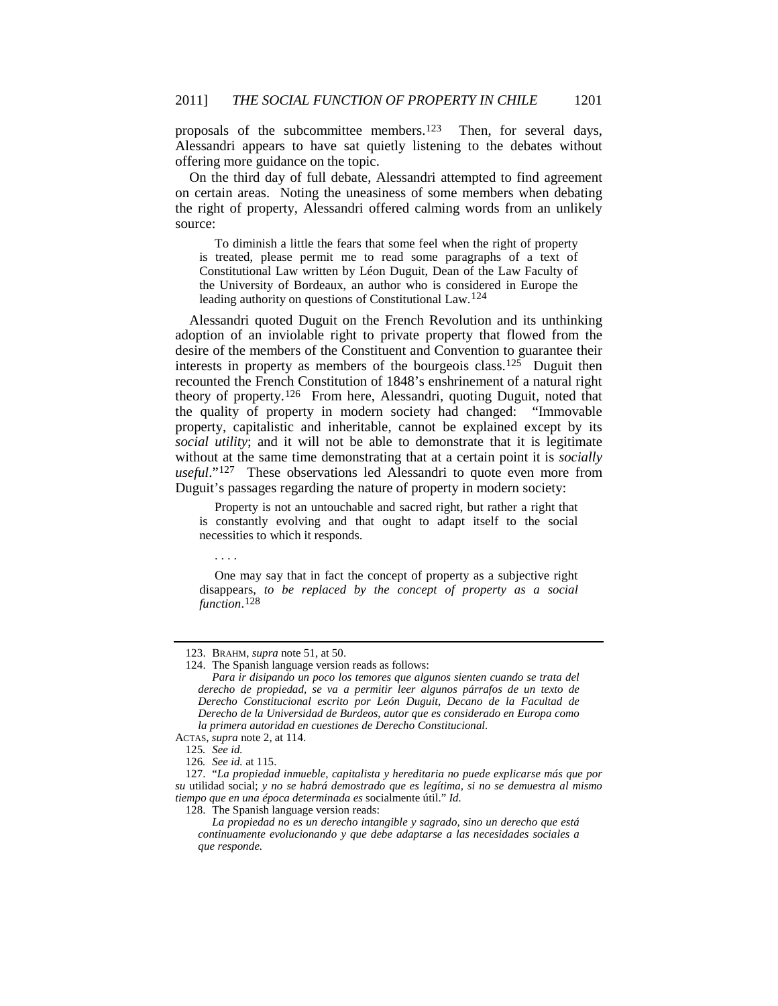proposals of the subcommittee members.<sup>123</sup> Then, for several days, Alessandri appears to have sat quietly listening to the debates without offering more guidance on the topic.

On the third day of full debate, Alessandri attempted to find agreement on certain areas. Noting the uneasiness of some members when debating the right of property, Alessandri offered calming words from an unlikely source:

To diminish a little the fears that some feel when the right of property is treated, please permit me to read some paragraphs of a text of Constitutional Law written by Léon Duguit, Dean of the Law Faculty of the University of Bordeaux, an author who is considered in Europe the leading authority on questions of Constitutional Law.[124](#page-19-1)

Alessandri quoted Duguit on the French Revolution and its unthinking adoption of an inviolable right to private property that flowed from the desire of the members of the Constituent and Convention to guarantee their interests in property as members of the bourgeois class.<sup>125</sup> Duguit then recounted the French Constitution of 1848's enshrinement of a natural right theory of property.[126](#page-19-3) From here, Alessandri, quoting Duguit, noted that the quality of property in modern society had changed: "Immovable property, capitalistic and inheritable, cannot be explained except by its *social utility*; and it will not be able to demonstrate that it is legitimate without at the same time demonstrating that at a certain point it is *socially*  useful."<sup>127</sup> These observations led Alessandri to quote even more from Duguit's passages regarding the nature of property in modern society:

Property is not an untouchable and sacred right, but rather a right that is constantly evolving and that ought to adapt itself to the social necessities to which it responds.

. . . .

One may say that in fact the concept of property as a subjective right disappears, *to be replaced by the concept of property as a social function*. [128](#page-19-5)

<sup>123.</sup> BRAHM, *supra* note [51,](#page-9-8) at 50.

<span id="page-19-1"></span><span id="page-19-0"></span><sup>124.</sup> The Spanish language version reads as follows:

*Para ir disipando un poco los temores que algunos sienten cuando se trata del derecho de propiedad, se va a permitir leer algunos párrafos de un texto de Derecho Constitucional escrito por León Duguit, Decano de la Facultad de Derecho de la Universidad de Burdeos, autor que es considerado en Europa como la primera autoridad en cuestiones de Derecho Constitucional.*

<span id="page-19-2"></span>ACTAS, *supra* not[e 2,](#page-1-3) at 114.

<sup>125</sup>*. See id.*

<sup>126</sup>*. See id.* at 115.

<span id="page-19-5"></span><span id="page-19-4"></span><span id="page-19-3"></span><sup>127.</sup> "*La propiedad inmueble, capitalista y hereditaria no puede explicarse más que por su* utilidad social; *y no se habrá demostrado que es legítima, si no se demuestra al mismo tiempo que en una época determinada es* socialmente útil." *Id.*

<sup>128.</sup> The Spanish language version reads:

*La propiedad no es un derecho intangible y sagrado, sino un derecho que está continuamente evolucionando y que debe adaptarse a las necesidades sociales a que responde.*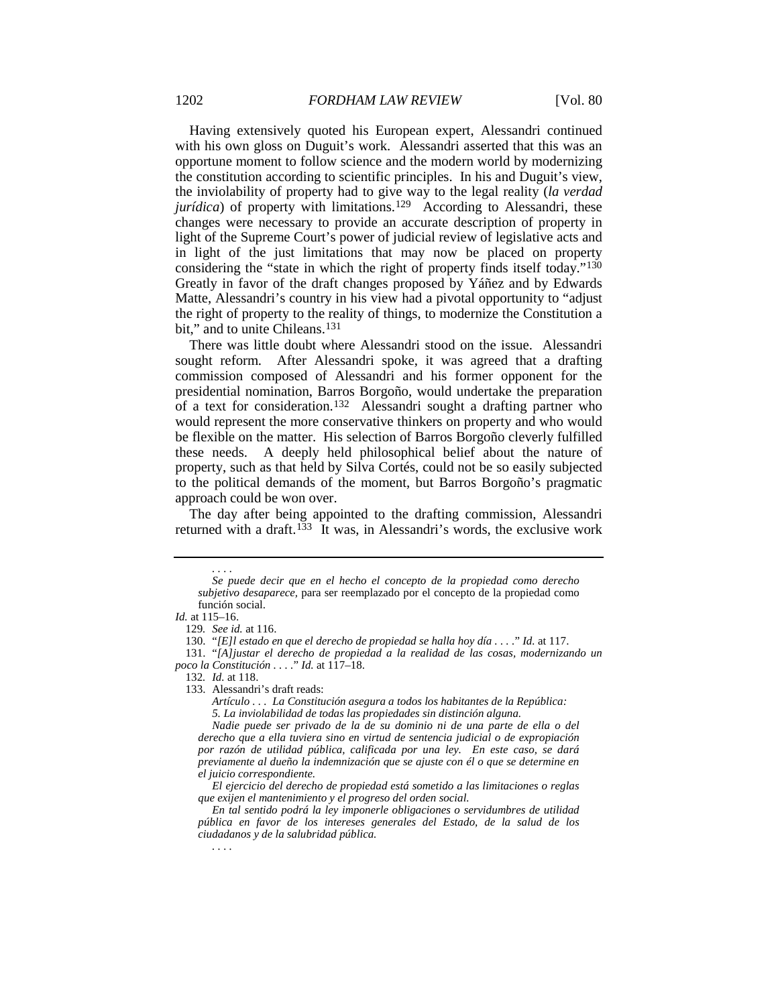Having extensively quoted his European expert, Alessandri continued with his own gloss on Duguit's work. Alessandri asserted that this was an opportune moment to follow science and the modern world by modernizing the constitution according to scientific principles. In his and Duguit's view, the inviolability of property had to give way to the legal reality (*la verdad jurídica*) of property with limitations.<sup>129</sup> According to Alessandri, these changes were necessary to provide an accurate description of property in light of the Supreme Court's power of judicial review of legislative acts and in light of the just limitations that may now be placed on property considering the "state in which the right of property finds itself today."[130](#page-20-1) Greatly in favor of the draft changes proposed by Yáñez and by Edwards Matte, Alessandri's country in his view had a pivotal opportunity to "adjust the right of property to the reality of things, to modernize the Constitution a bit," and to unite Chileans.<sup>131</sup>

There was little doubt where Alessandri stood on the issue. Alessandri sought reform. After Alessandri spoke, it was agreed that a drafting commission composed of Alessandri and his former opponent for the presidential nomination, Barros Borgoño, would undertake the preparation of a text for consideration.<sup>[132](#page-20-3)</sup> Alessandri sought a drafting partner who would represent the more conservative thinkers on property and who would be flexible on the matter. His selection of Barros Borgoño cleverly fulfilled these needs. A deeply held philosophical belief about the nature of property, such as that held by Silva Cortés, could not be so easily subjected to the political demands of the moment, but Barros Borgoño's pragmatic approach could be won over.

The day after being appointed to the drafting commission, Alessandri returned with a draft.<sup>[133](#page-20-4)</sup> It was, in Alessandri's words, the exclusive work

*. . . .*

*Se puede decir que en el hecho el concepto de la propiedad como derecho subjetivo desaparece,* para ser reemplazado por el concepto de la propiedad como función social.

<span id="page-20-0"></span>*Id.* at 115–16.

<sup>129</sup>*. See id.* at 116.

<sup>130.</sup> "*[E]l estado en que el derecho de propiedad se halla hoy día . . . .*" *Id.* at 117.

<span id="page-20-4"></span><span id="page-20-3"></span><span id="page-20-2"></span><span id="page-20-1"></span><sup>131.</sup> "*[A]justar el derecho de propiedad a la realidad de las cosas, modernizando un poco la Constitución . . . .*" *Id.* at 117–18.

<sup>132</sup>*. Id.* at 118.

<sup>133.</sup> Alessandri's draft reads:

*Artículo . . . La Constitución asegura a todos los habitantes de la República: 5. La inviolabilidad de todas las propiedades sin distinción alguna.*

*Nadie puede ser privado de la de su dominio ni de una parte de ella o del derecho que a ella tuviera sino en virtud de sentencia judicial o de expropiación por razón de utilidad pública, calificada por una ley. En este caso, se dará previamente al dueño la indemnización que se ajuste con él o que se determine en el juicio correspondiente.*

*El ejercicio del derecho de propiedad está sometido a las limitaciones o reglas que exijen el mantenimiento y el progreso del orden social.*

*En tal sentido podrá la ley imponerle obligaciones o servidumbres de utilidad pública en favor de los intereses generales del Estado, de la salud de los ciudadanos y de la salubridad pública.*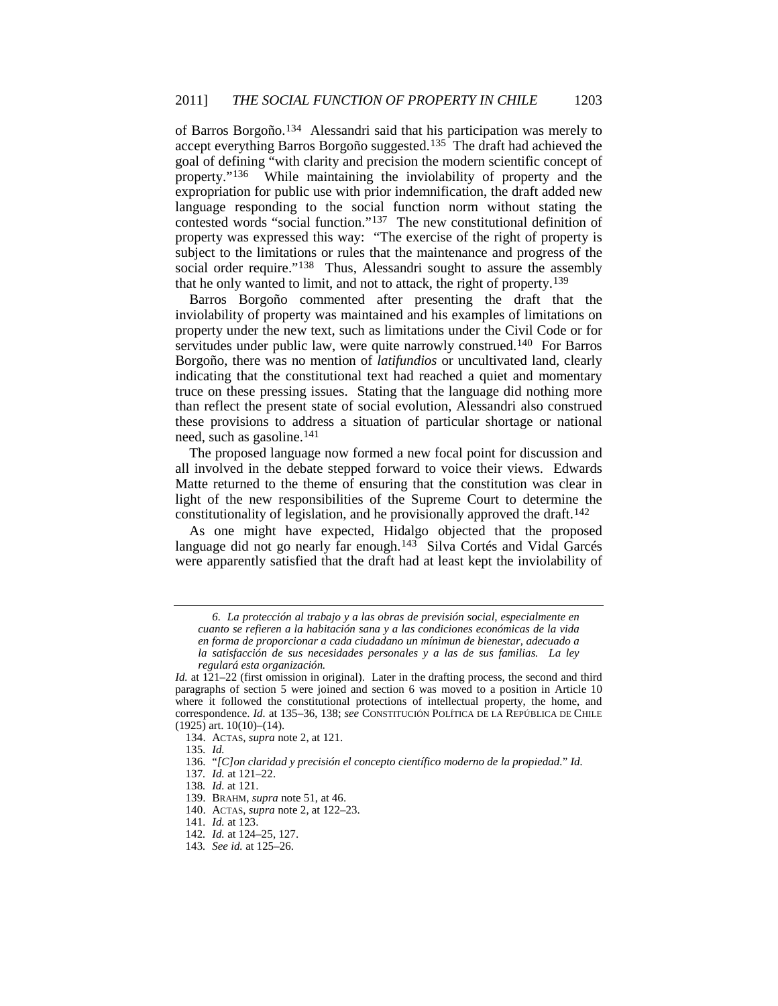of Barros Borgoño.[134](#page-21-0) Alessandri said that his participation was merely to accept everything Barros Borgoño suggested.[135](#page-21-1) The draft had achieved the goal of defining "with clarity and precision the modern scientific concept of property."<sup>136</sup> While maintaining the inviolability of property and the While maintaining the inviolability of property and the expropriation for public use with prior indemnification, the draft added new language responding to the social function norm without stating the contested words "social function."[137](#page-21-3) The new constitutional definition of property was expressed this way: "The exercise of the right of property is subject to the limitations or rules that the maintenance and progress of the social order require."<sup>[138](#page-21-4)</sup> Thus, Alessandri sought to assure the assembly that he only wanted to limit, and not to attack, the right of property[.139](#page-21-5)

Barros Borgoño commented after presenting the draft that the inviolability of property was maintained and his examples of limitations on property under the new text, such as limitations under the Civil Code or for servitudes under public law, were quite narrowly construed.<sup>[140](#page-21-6)</sup> For Barros Borgoño, there was no mention of *latifundios* or uncultivated land, clearly indicating that the constitutional text had reached a quiet and momentary truce on these pressing issues. Stating that the language did nothing more than reflect the present state of social evolution, Alessandri also construed these provisions to address a situation of particular shortage or national need, such as gasoline.[141](#page-21-7)

The proposed language now formed a new focal point for discussion and all involved in the debate stepped forward to voice their views. Edwards Matte returned to the theme of ensuring that the constitution was clear in light of the new responsibilities of the Supreme Court to determine the constitutionality of legislation, and he provisionally approved the draft.[142](#page-21-8)

As one might have expected, Hidalgo objected that the proposed language did not go nearly far enough.<sup>[143](#page-21-9)</sup> Silva Cortés and Vidal Garcés were apparently satisfied that the draft had at least kept the inviolability of

*<sup>6.</sup> La protección al trabajo y a las obras de previsión social, especialmente en cuanto se refieren a la habitación sana y a las condiciones económicas de la vida en forma de proporcionar a cada ciudadano un mínimun de bienestar, adecuado a la satisfacción de sus necesidades personales y a las de sus familias. La ley regulará esta organización.*

<span id="page-21-0"></span>*Id.* at  $121-22$  (first omission in original). Later in the drafting process, the second and third paragraphs of section 5 were joined and section 6 was moved to a position in Article 10 where it followed the constitutional protections of intellectual property, the home, and correspondence. *Id.* at 135–36, 138; *see* CONSTITUCIÓN POLÍTICA DE LA REPÚBLICA DE CHILE (1925) art. 10(10)–(14).

<sup>134.</sup> ACTAS, *supra* not[e 2,](#page-1-3) at 121.

<sup>135</sup>*. Id.*

<span id="page-21-2"></span><span id="page-21-1"></span><sup>136.</sup> "*[C]on claridad y precisión el concepto científico moderno de la propiedad.*" *Id.*

<span id="page-21-4"></span><span id="page-21-3"></span><sup>137</sup>*. Id.* at 121–22.

<sup>138</sup>*. Id.* at 121.

<span id="page-21-5"></span><sup>139.</sup> BRAHM, *supra* note [51,](#page-9-8) at 46.

<span id="page-21-7"></span><span id="page-21-6"></span><sup>140.</sup> ACTAS, *supra* not[e 2,](#page-1-3) at 122–23.

<sup>141</sup>*. Id.* at 123.

<sup>142</sup>*. Id.* at 124–25, 127.

<span id="page-21-9"></span><span id="page-21-8"></span><sup>143</sup>*. See id.* at 125–26.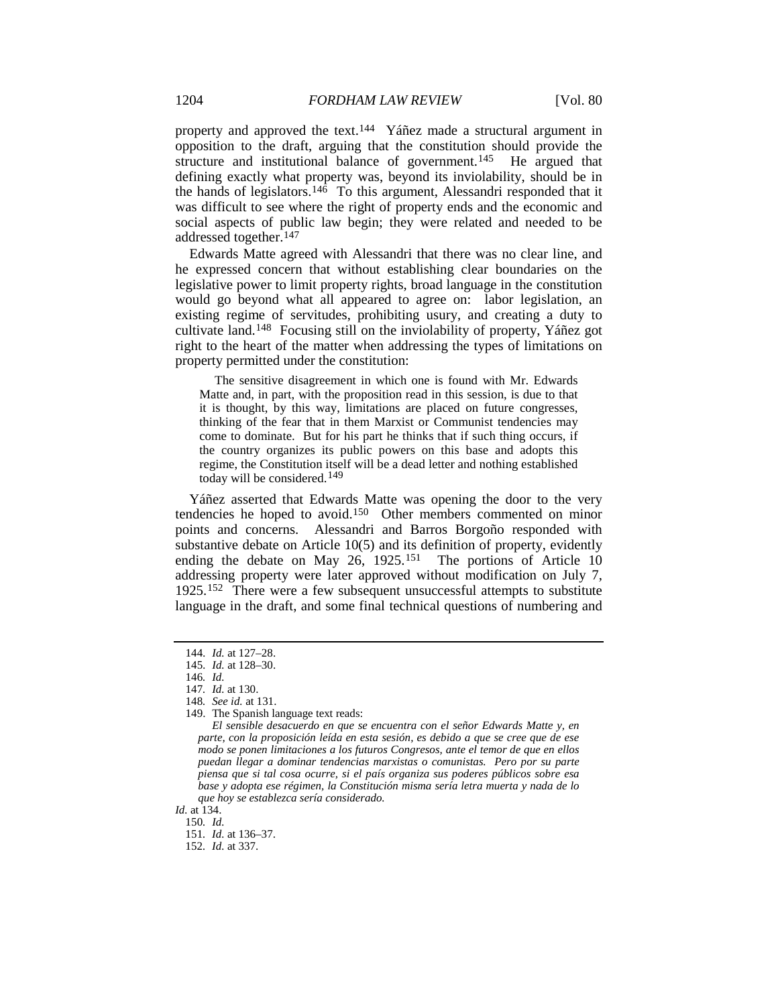property and approved the text.[144](#page-22-0) Yáñez made a structural argument in opposition to the draft, arguing that the constitution should provide the structure and institutional balance of government.<sup>145</sup> He argued that defining exactly what property was, beyond its inviolability, should be in the hands of legislators.<sup>146</sup> To this argument, Alessandri responded that it was difficult to see where the right of property ends and the economic and social aspects of public law begin; they were related and needed to be addressed together.<sup>147</sup>

Edwards Matte agreed with Alessandri that there was no clear line, and he expressed concern that without establishing clear boundaries on the legislative power to limit property rights, broad language in the constitution would go beyond what all appeared to agree on: labor legislation, an existing regime of servitudes, prohibiting usury, and creating a duty to cultivate land[.148](#page-22-4) Focusing still on the inviolability of property, Yáñez got right to the heart of the matter when addressing the types of limitations on property permitted under the constitution:

The sensitive disagreement in which one is found with Mr. Edwards Matte and, in part, with the proposition read in this session, is due to that it is thought, by this way, limitations are placed on future congresses, thinking of the fear that in them Marxist or Communist tendencies may come to dominate. But for his part he thinks that if such thing occurs, if the country organizes its public powers on this base and adopts this regime, the Constitution itself will be a dead letter and nothing established today will be considered. [149](#page-22-5)

Yáñez asserted that Edwards Matte was opening the door to the very tendencies he hoped to avoid.[150](#page-22-6) Other members commented on minor points and concerns. Alessandri and Barros Borgoño responded with substantive debate on Article 10(5) and its definition of property, evidently ending the debate on May 26, 1925.<sup>[151](#page-22-7)</sup> The portions of Article 10 addressing property were later approved without modification on July 7, 1925.[152](#page-22-8) There were a few subsequent unsuccessful attempts to substitute language in the draft, and some final technical questions of numbering and

<span id="page-22-8"></span><span id="page-22-7"></span><span id="page-22-6"></span>*Id.* at 134.

<sup>144</sup>*. Id.* at 127–28.

<span id="page-22-2"></span><span id="page-22-1"></span><span id="page-22-0"></span><sup>145</sup>*. Id.* at 128–30.

<sup>146</sup>*. Id.*

<span id="page-22-3"></span><sup>147</sup>*. Id.* at 130.

<span id="page-22-4"></span><sup>148</sup>*. See id.* at 131.

<span id="page-22-5"></span><sup>149.</sup> The Spanish language text reads:

*El sensible desacuerdo en que se encuentra con el señor Edwards Matte y, en parte, con la proposición leída en esta sesión, es debido a que se cree que de ese modo se ponen limitaciones a los futuros Congresos, ante el temor de que en ellos puedan llegar a dominar tendencias marxistas o comunistas. Pero por su parte piensa que si tal cosa ocurre, si el país organiza sus poderes públicos sobre esa base y adopta ese régimen, la Constitución misma sería letra muerta y nada de lo que hoy se establezca sería considerado.*

<sup>150</sup>*. Id.* 151*. Id.* at 136–37.

<sup>152</sup>*. Id.* at 337.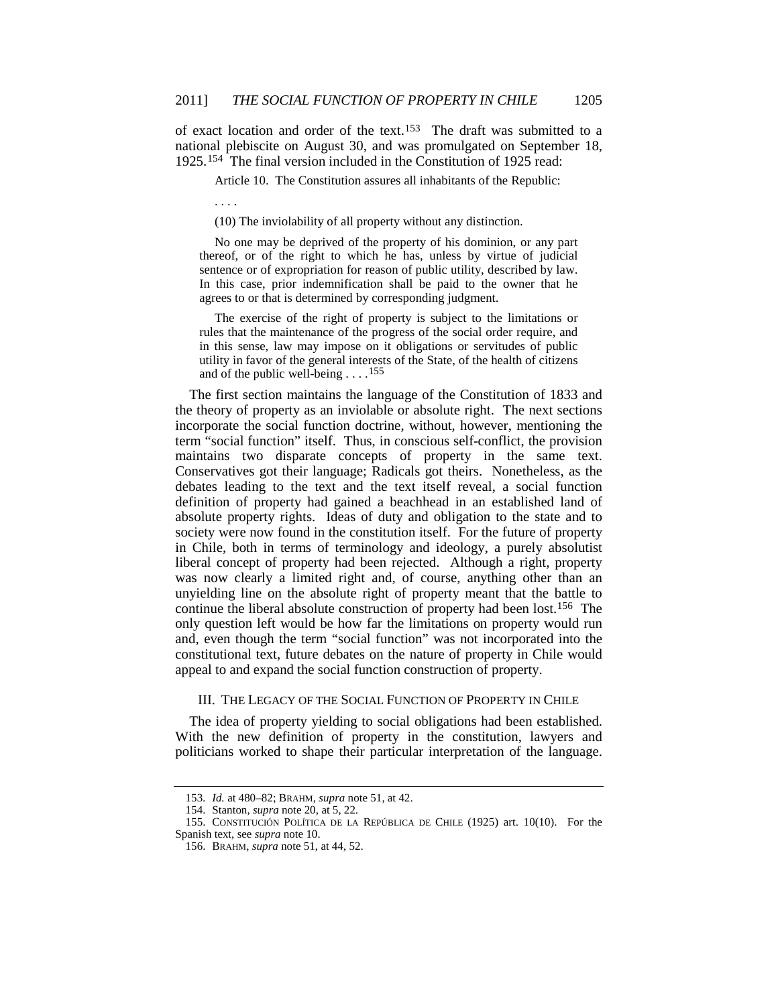of exact location and order of the text.[153](#page-23-1) The draft was submitted to a national plebiscite on August 30, and was promulgated on September 18, 1925.[154](#page-23-2) The final version included in the Constitution of 1925 read:

Article 10. The Constitution assures all inhabitants of the Republic:

. . . .

(10) The inviolability of all property without any distinction.

No one may be deprived of the property of his dominion, or any part thereof, or of the right to which he has, unless by virtue of judicial sentence or of expropriation for reason of public utility, described by law. In this case, prior indemnification shall be paid to the owner that he agrees to or that is determined by corresponding judgment.

<span id="page-23-0"></span>The exercise of the right of property is subject to the limitations or rules that the maintenance of the progress of the social order require, and in this sense, law may impose on it obligations or servitudes of public utility in favor of the general interests of the State, of the health of citizens and of the public well-being . . . .[155](#page-23-3)

The first section maintains the language of the Constitution of 1833 and the theory of property as an inviolable or absolute right. The next sections incorporate the social function doctrine, without, however, mentioning the term "social function" itself. Thus, in conscious self-conflict, the provision maintains two disparate concepts of property in the same text. Conservatives got their language; Radicals got theirs. Nonetheless, as the debates leading to the text and the text itself reveal, a social function definition of property had gained a beachhead in an established land of absolute property rights. Ideas of duty and obligation to the state and to society were now found in the constitution itself. For the future of property in Chile, both in terms of terminology and ideology, a purely absolutist liberal concept of property had been rejected. Although a right, property was now clearly a limited right and, of course, anything other than an unyielding line on the absolute right of property meant that the battle to continue the liberal absolute construction of property had been lost.[156](#page-23-4) The only question left would be how far the limitations on property would run and, even though the term "social function" was not incorporated into the constitutional text, future debates on the nature of property in Chile would appeal to and expand the social function construction of property.

## III. THE LEGACY OF THE SOCIAL FUNCTION OF PROPERTY IN CHILE

The idea of property yielding to social obligations had been established. With the new definition of property in the constitution, lawyers and politicians worked to shape their particular interpretation of the language.

<sup>153</sup>*. Id.* at 480–82; BRAHM, *supra* not[e 51,](#page-9-8) at 42.

<sup>154.</sup> Stanton, *supra* not[e 20,](#page-6-0) at 5, 22.

<span id="page-23-4"></span><span id="page-23-3"></span><span id="page-23-2"></span><span id="page-23-1"></span><sup>155.</sup> CONSTITUCIÓN POLÍTICA DE LA REPÚBLICA DE CHILE (1925) art. 10(10). For the Spanish text, see *supra* note [10.](#page-4-4)

<sup>156.</sup> BRAHM, *supra* note [51,](#page-9-8) at 44, 52.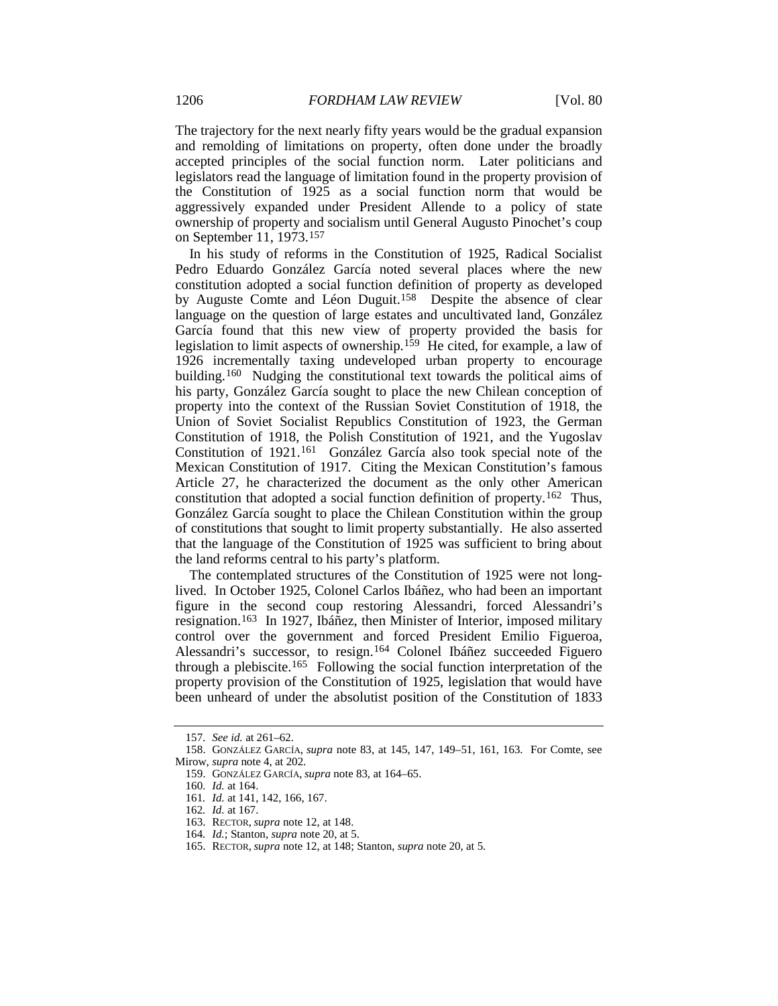The trajectory for the next nearly fifty years would be the gradual expansion and remolding of limitations on property, often done under the broadly accepted principles of the social function norm. Later politicians and legislators read the language of limitation found in the property provision of the Constitution of 1925 as a social function norm that would be aggressively expanded under President Allende to a policy of state ownership of property and socialism until General Augusto Pinochet's coup on September 11, 1973.[157](#page-24-0)

In his study of reforms in the Constitution of 1925, Radical Socialist Pedro Eduardo González García noted several places where the new constitution adopted a social function definition of property as developed by Auguste Comte and Léon Duguit.<sup>158</sup> Despite the absence of clear language on the question of large estates and uncultivated land, González García found that this new view of property provided the basis for legislation to limit aspects of ownership.[159](#page-24-2) He cited, for example, a law of 1926 incrementally taxing undeveloped urban property to encourage building.<sup>[160](#page-24-3)</sup> Nudging the constitutional text towards the political aims of his party, González García sought to place the new Chilean conception of property into the context of the Russian Soviet Constitution of 1918, the Union of Soviet Socialist Republics Constitution of 1923, the German Constitution of 1918, the Polish Constitution of 1921, and the Yugoslav Constitution of 1921.<sup>[161](#page-24-4)</sup> González García also took special note of the Mexican Constitution of 1917. Citing the Mexican Constitution's famous Article 27, he characterized the document as the only other American constitution that adopted a social function definition of property.[162](#page-24-5) Thus, González García sought to place the Chilean Constitution within the group of constitutions that sought to limit property substantially. He also asserted that the language of the Constitution of 1925 was sufficient to bring about the land reforms central to his party's platform.

The contemplated structures of the Constitution of 1925 were not longlived. In October 1925, Colonel Carlos Ibáñez, who had been an important figure in the second coup restoring Alessandri, forced Alessandri's resignation. [163](#page-24-6) In 1927, Ibáñez, then Minister of Interior, imposed military control over the government and forced President Emilio Figueroa, Alessandri's successor, to resign.[164](#page-24-7) Colonel Ibáñez succeeded Figuero through a plebiscite.[165](#page-24-8) Following the social function interpretation of the property provision of the Constitution of 1925, legislation that would have been unheard of under the absolutist position of the Constitution of 1833

<sup>157</sup>*. See id.* at 261–62.

<span id="page-24-5"></span><span id="page-24-4"></span><span id="page-24-3"></span><span id="page-24-2"></span><span id="page-24-1"></span><span id="page-24-0"></span><sup>158.</sup> GONZÁLEZ GARCÍA, *supra* note [83,](#page-13-5) at 145, 147, 149–51, 161, 163. For Comte, see Mirow, *supra* not[e 4,](#page-2-3) at 202.

<sup>159.</sup> GONZÁLEZ GARCÍA, *supra* not[e 83,](#page-13-5) at 164–65.

<sup>160</sup>*. Id.* at 164.

<sup>161</sup>*. Id.* at 141, 142, 166, 167.

<sup>162</sup>*. Id.* at 167.

<span id="page-24-6"></span><sup>163.</sup> RECTOR, *supra* not[e 12,](#page-5-0) at 148.

<sup>164</sup>*. Id.*; Stanton, *supra* note [20,](#page-6-0) at 5.

<span id="page-24-8"></span><span id="page-24-7"></span><sup>165.</sup> RECTOR, *supra* not[e 12,](#page-5-0) at 148; Stanton, *supra* not[e 20,](#page-6-0) at 5.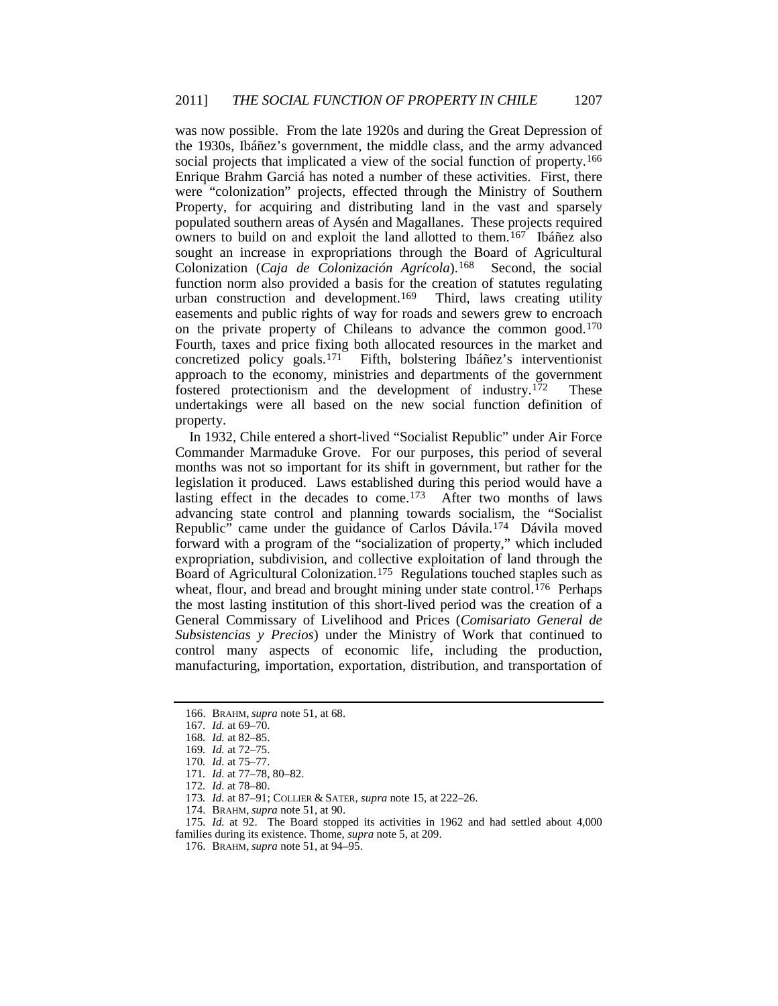was now possible. From the late 1920s and during the Great Depression of the 1930s, Ibáñez's government, the middle class, and the army advanced social projects that implicated a view of the social function of property.<sup>[166](#page-25-0)</sup> Enrique Brahm Garciá has noted a number of these activities. First, there were "colonization" projects, effected through the Ministry of Southern Property, for acquiring and distributing land in the vast and sparsely populated southern areas of Aysén and Magallanes. These projects required owners to build on and exploit the land allotted to them.<sup>[167](#page-25-1)</sup> Ibáñez also sought an increase in expropriations through the Board of Agricultural Colonization (*Caja de Colonización Agrícola*).[168](#page-25-2) Second, the social function norm also provided a basis for the creation of statutes regulating urban construction and development.[169](#page-25-3) Third, laws creating utility easements and public rights of way for roads and sewers grew to encroach on the private property of Chileans to advance the common good.[170](#page-25-4) Fourth, taxes and price fixing both allocated resources in the market and concretized policy goals.[171](#page-25-5) Fifth, bolstering Ibáñez's interventionist approach to the economy, ministries and departments of the government fostered protectionism and the development of industry.[172](#page-25-6) These undertakings were all based on the new social function definition of property.

In 1932, Chile entered a short-lived "Socialist Republic" under Air Force Commander Marmaduke Grove. For our purposes, this period of several months was not so important for its shift in government, but rather for the legislation it produced. Laws established during this period would have a lasting effect in the decades to come. [173](#page-25-7) After two months of laws advancing state control and planning towards socialism, the "Socialist Republic" came under the guidance of Carlos Dávila.[174](#page-25-8) Dávila moved forward with a program of the "socialization of property," which included expropriation, subdivision, and collective exploitation of land through the Board of Agricultural Colonization.[175](#page-25-9) Regulations touched staples such as wheat, flour, and bread and brought mining under state control.<sup>[176](#page-25-10)</sup> Perhaps the most lasting institution of this short-lived period was the creation of a General Commissary of Livelihood and Prices (*Comisariato General de Subsistencias y Precios*) under the Ministry of Work that continued to control many aspects of economic life, including the production, manufacturing, importation, exportation, distribution, and transportation of

174. BRAHM, *supra* not[e 51,](#page-9-8) at 90.

<span id="page-25-10"></span><span id="page-25-9"></span><span id="page-25-8"></span><span id="page-25-7"></span><span id="page-25-6"></span><span id="page-25-5"></span>175*. Id.* at 92. The Board stopped its activities in 1962 and had settled about 4,000 families during its existence. Thome, *supra* not[e 5,](#page-2-4) at 209.

<span id="page-25-0"></span><sup>166.</sup> BRAHM, *supra* note [51,](#page-9-8) at 68.

<sup>167</sup>*. Id.* at 69–70.

<sup>168</sup>*. Id.* at 82–85.

<span id="page-25-4"></span><span id="page-25-3"></span><span id="page-25-2"></span><span id="page-25-1"></span><sup>169</sup>*. Id.* at 72–75.

<sup>170</sup>*. Id.* at 75–77.

<sup>171</sup>*. Id.* at 77–78, 80–82.

<sup>172</sup>*. Id.* at 78–80.

<sup>173</sup>*. Id.* at 87–91; COLLIER & SATER, *supra* not[e 15,](#page-5-9) at 222–26.

<sup>176.</sup> BRAHM, *supra* not[e 51,](#page-9-8) at 94–95.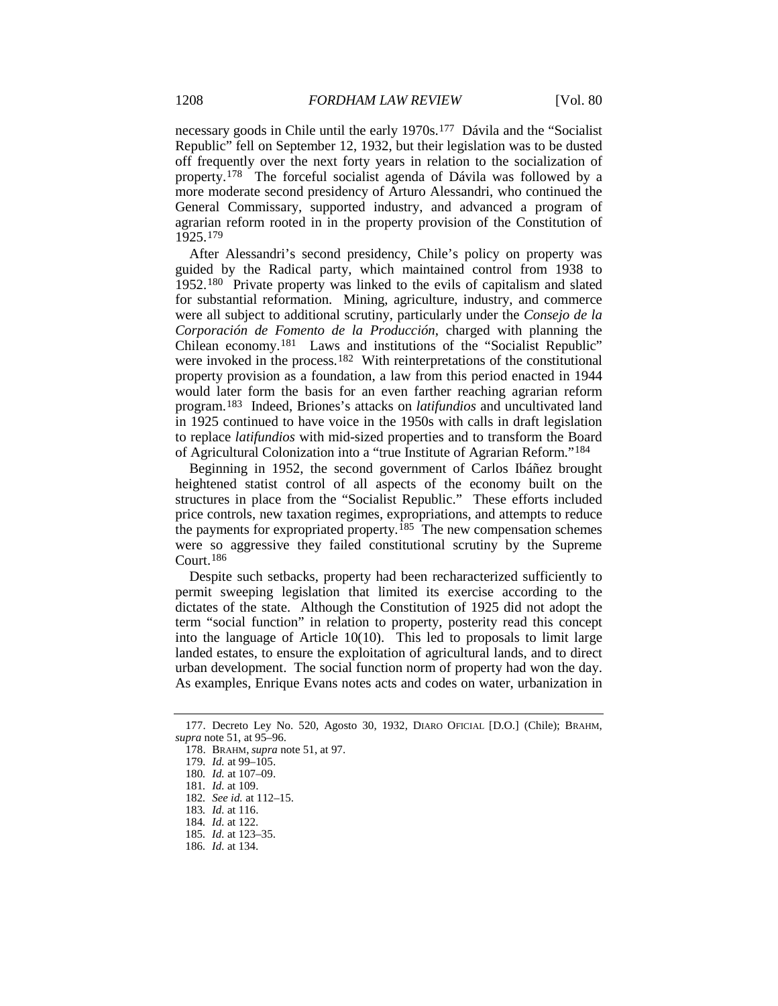necessary goods in Chile until the early 1970s.[177](#page-26-0) Dávila and the "Socialist Republic" fell on September 12, 1932, but their legislation was to be dusted off frequently over the next forty years in relation to the socialization of property.[178](#page-26-1) The forceful socialist agenda of Dávila was followed by a more moderate second presidency of Arturo Alessandri, who continued the General Commissary, supported industry, and advanced a program of agrarian reform rooted in in the property provision of the Constitution of 1925.[179](#page-26-2)

After Alessandri's second presidency, Chile's policy on property was guided by the Radical party, which maintained control from 1938 to 1952.[180](#page-26-3) Private property was linked to the evils of capitalism and slated for substantial reformation. Mining, agriculture, industry, and commerce were all subject to additional scrutiny, particularly under the *Consejo de la Corporación de Fomento de la Producción*, charged with planning the Chilean economy.[181](#page-26-4) Laws and institutions of the "Socialist Republic" were invoked in the process.<sup>[182](#page-26-5)</sup> With reinterpretations of the constitutional property provision as a foundation, a law from this period enacted in 1944 would later form the basis for an even farther reaching agrarian reform program.[183](#page-26-6) Indeed, Briones's attacks on *latifundios* and uncultivated land in 1925 continued to have voice in the 1950s with calls in draft legislation to replace *latifundios* with mid-sized properties and to transform the Board of Agricultural Colonization into a "true Institute of Agrarian Reform."[184](#page-26-7)

Beginning in 1952, the second government of Carlos Ibáñez brought heightened statist control of all aspects of the economy built on the structures in place from the "Socialist Republic." These efforts included price controls, new taxation regimes, expropriations, and attempts to reduce the payments for expropriated property.<sup>[185](#page-26-8)</sup> The new compensation schemes were so aggressive they failed constitutional scrutiny by the Supreme Court.[186](#page-26-9)

Despite such setbacks, property had been recharacterized sufficiently to permit sweeping legislation that limited its exercise according to the dictates of the state. Although the Constitution of 1925 did not adopt the term "social function" in relation to property, posterity read this concept into the language of Article 10(10). This led to proposals to limit large landed estates, to ensure the exploitation of agricultural lands, and to direct urban development. The social function norm of property had won the day. As examples, Enrique Evans notes acts and codes on water, urbanization in

<span id="page-26-6"></span>183*. Id.* at 116.

<span id="page-26-3"></span><span id="page-26-2"></span><span id="page-26-1"></span><span id="page-26-0"></span><sup>177.</sup> Decreto Ley No. 520, Agosto 30, 1932, DIARO OFICIAL [D.O.] (Chile); BRAHM, *supra* not[e 51,](#page-9-8) at 95–96.

<sup>178.</sup> BRAHM, *supra* not[e 51,](#page-9-8) at 97.

<sup>179</sup>*. Id.* at 99–105.

<sup>180</sup>*. Id.* at 107–09.

<span id="page-26-5"></span><span id="page-26-4"></span><sup>181</sup>*. Id.* at 109.

<sup>182</sup>*. See id.* at 112–15.

<span id="page-26-7"></span><sup>184</sup>*. Id.* at 122.

<span id="page-26-8"></span><sup>185</sup>*. Id.* at 123–35.

<span id="page-26-9"></span><sup>186</sup>*. Id.* at 134.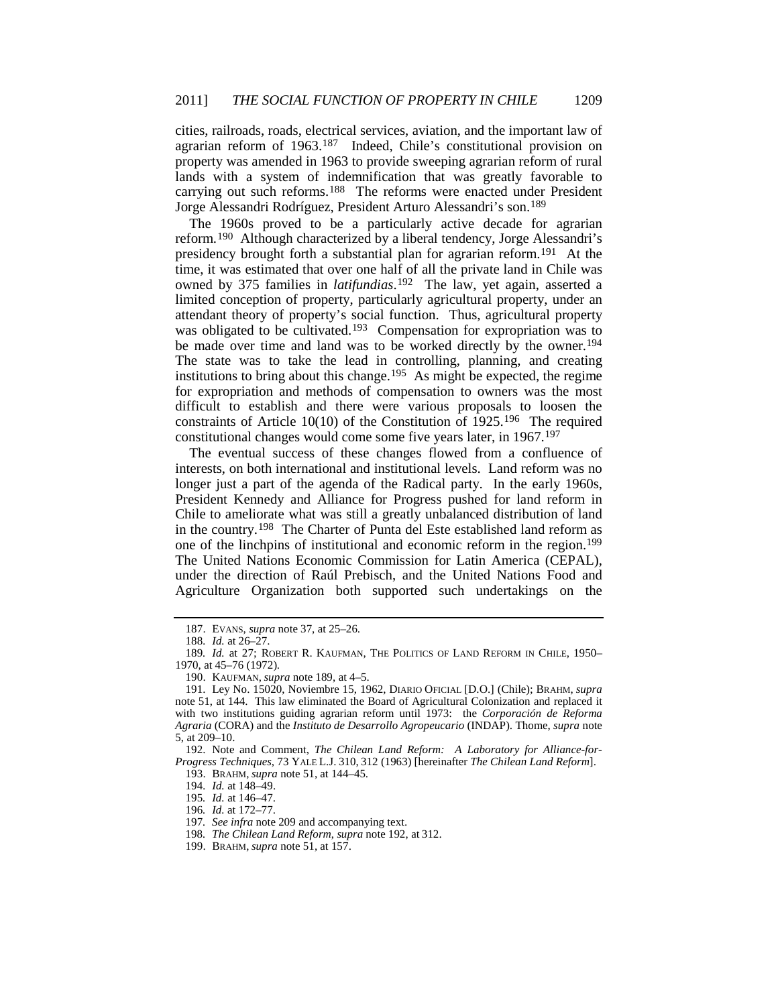cities, railroads, roads, electrical services, aviation, and the important law of agrarian reform of 1963.[187](#page-27-2) Indeed, Chile's constitutional provision on property was amended in 1963 to provide sweeping agrarian reform of rural lands with a system of indemnification that was greatly favorable to carrying out such reforms.[188](#page-27-3) The reforms were enacted under President Jorge Alessandri Rodríguez, President Arturo Alessandri's son.[189](#page-27-4)

<span id="page-27-1"></span><span id="page-27-0"></span>The 1960s proved to be a particularly active decade for agrarian reform.[190](#page-27-5) Although characterized by a liberal tendency, Jorge Alessandri's presidency brought forth a substantial plan for agrarian reform.[191](#page-27-6) At the time, it was estimated that over one half of all the private land in Chile was owned by 375 families in *latifundias*.[192](#page-27-7) The law, yet again, asserted a limited conception of property, particularly agricultural property, under an attendant theory of property's social function. Thus, agricultural property was obligated to be cultivated.<sup>[193](#page-27-8)</sup> Compensation for expropriation was to be made over time and land was to be worked directly by the owner.[194](#page-27-9) The state was to take the lead in controlling, planning, and creating institutions to bring about this change.[195](#page-27-10) As might be expected, the regime for expropriation and methods of compensation to owners was the most difficult to establish and there were various proposals to loosen the constraints of Article 10(10) of the Constitution of 1925.[196](#page-27-11) The required constitutional changes would come some five years later, in 1967.[197](#page-27-12)

The eventual success of these changes flowed from a confluence of interests, on both international and institutional levels. Land reform was no longer just a part of the agenda of the Radical party. In the early 1960s, President Kennedy and Alliance for Progress pushed for land reform in Chile to ameliorate what was still a greatly unbalanced distribution of land in the country.[198](#page-27-13) The Charter of Punta del Este established land reform as one of the linchpins of institutional and economic reform in the region.<sup>[199](#page-27-14)</sup> The United Nations Economic Commission for Latin America (CEPAL), under the direction of Raúl Prebisch, and the United Nations Food and Agriculture Organization both supported such undertakings on the

193. BRAHM, *supra* not[e 51,](#page-9-8) at 144–45.

<sup>187.</sup> EVANS, *supra* note [37,](#page-7-10) at 25–26.

<sup>188</sup>*. Id.* at 26–27.

<span id="page-27-4"></span><span id="page-27-3"></span><span id="page-27-2"></span><sup>189</sup>*. Id.* at 27; ROBERT R. KAUFMAN, THE POLITICS OF LAND REFORM IN CHILE, 1950– 1970, at 45–76 (1972).

<sup>190.</sup> KAUFMAN, *supra* not[e 189,](#page-27-0) at 4–5.

<span id="page-27-6"></span><span id="page-27-5"></span><sup>191.</sup> Ley No. 15020, Noviembre 15, 1962, DIARIO OFICIAL [D.O.] (Chile); BRAHM, *supra* note [51,](#page-9-8) at 144. This law eliminated the Board of Agricultural Colonization and replaced it with two institutions guiding agrarian reform until 1973: the *Corporación de Reforma Agraria* (CORA) and the *Instituto de Desarrollo Agropeucario* (INDAP). Thome, *supra* note [5,](#page-2-4) at 209–10.

<span id="page-27-11"></span><span id="page-27-10"></span><span id="page-27-9"></span><span id="page-27-8"></span><span id="page-27-7"></span><sup>192.</sup> Note and Comment, *The Chilean Land Reform: A Laboratory for Alliance-for-Progress Techniques*, 73 YALE L.J. 310, 312 (1963) [hereinafter *The Chilean Land Reform*].

<sup>194</sup>*. Id.* at 148–49.

<sup>195</sup>*. Id.* at 146–47.

<sup>196</sup>*. Id.* at 172–77.

<span id="page-27-13"></span><span id="page-27-12"></span><sup>197</sup>*. See infra* not[e 209](#page-29-0) and accompanying text.

<sup>198</sup>*. The Chilean Land Reform*, *supra* not[e 192,](#page-27-1) at 312.

<span id="page-27-14"></span><sup>199.</sup> BRAHM, *supra* not[e 51,](#page-9-8) at 157.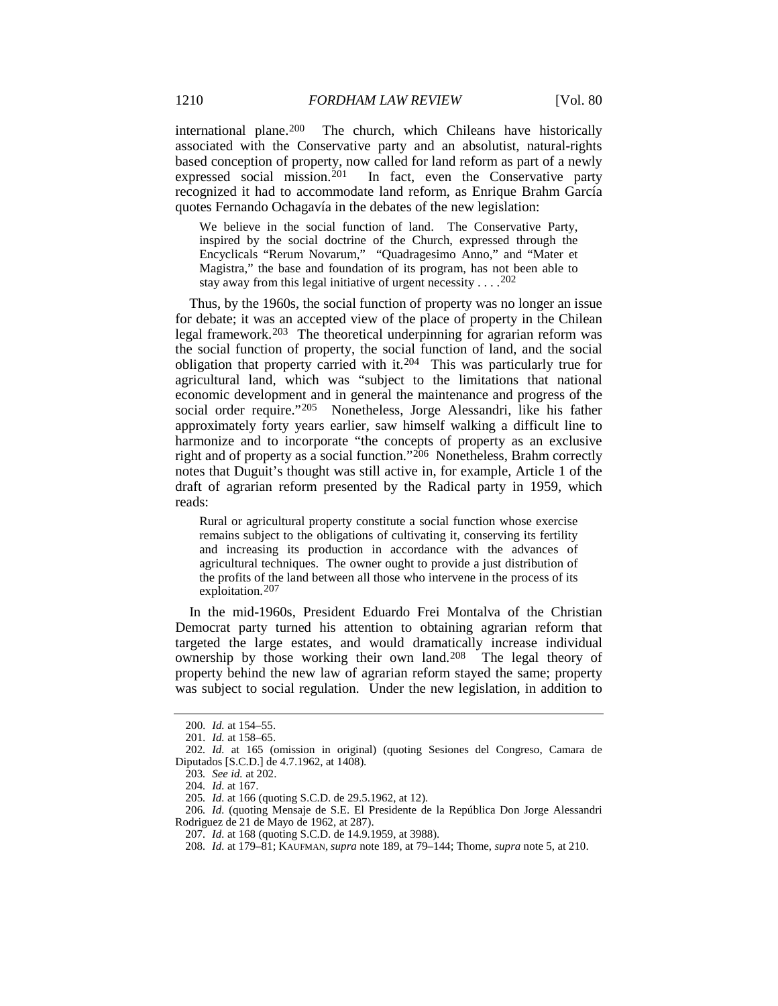international plane.[200](#page-28-0) The church, which Chileans have historically associated with the Conservative party and an absolutist, natural-rights based conception of property, now called for land reform as part of a newly expressed social mission.<sup>[201](#page-28-1)</sup> In fact, even the Conservative party recognized it had to accommodate land reform, as Enrique Brahm García quotes Fernando Ochagavía in the debates of the new legislation:

We believe in the social function of land. The Conservative Party, inspired by the social doctrine of the Church, expressed through the Encyclicals "Rerum Novarum," "Quadragesimo Anno," and "Mater et Magistra," the base and foundation of its program, has not been able to stay away from this legal initiative of urgent necessity . . . . <sup>[202](#page-28-2)</sup>

Thus, by the 1960s, the social function of property was no longer an issue for debate; it was an accepted view of the place of property in the Chilean legal framework.[203](#page-28-3) The theoretical underpinning for agrarian reform was the social function of property, the social function of land, and the social obligation that property carried with it.[204](#page-28-4) This was particularly true for agricultural land, which was "subject to the limitations that national economic development and in general the maintenance and progress of the social order require.["205](#page-28-5) Nonetheless, Jorge Alessandri, like his father approximately forty years earlier, saw himself walking a difficult line to harmonize and to incorporate "the concepts of property as an exclusive right and of property as a social function."[206](#page-28-6) Nonetheless, Brahm correctly notes that Duguit's thought was still active in, for example, Article 1 of the draft of agrarian reform presented by the Radical party in 1959, which reads:

Rural or agricultural property constitute a social function whose exercise remains subject to the obligations of cultivating it, conserving its fertility and increasing its production in accordance with the advances of agricultural techniques. The owner ought to provide a just distribution of the profits of the land between all those who intervene in the process of its exploitation. [207](#page-28-7)

In the mid-1960s, President Eduardo Frei Montalva of the Christian Democrat party turned his attention to obtaining agrarian reform that targeted the large estates, and would dramatically increase individual ownership by those working their own land.<sup>[208](#page-28-8)</sup> The legal theory of property behind the new law of agrarian reform stayed the same; property was subject to social regulation. Under the new legislation, in addition to

<sup>200</sup>*. Id.* at 154–55.

<sup>201</sup>*. Id.* at 158–65.

<span id="page-28-3"></span><span id="page-28-2"></span><span id="page-28-1"></span><span id="page-28-0"></span><sup>202</sup>*. Id.* at 165 (omission in original) (quoting Sesiones del Congreso, Camara de Diputados [S.C.D.] de 4.7.1962, at 1408).

<sup>203</sup>*. See id.* at 202.

<sup>204</sup>*. Id.* at 167.

<sup>205</sup>*. Id.* at 166 (quoting S.C.D. de 29.5.1962, at 12).

<span id="page-28-8"></span><span id="page-28-7"></span><span id="page-28-6"></span><span id="page-28-5"></span><span id="page-28-4"></span><sup>206</sup>*. Id.* (quoting Mensaje de S.E. El Presidente de la República Don Jorge Alessandri Rodriguez de 21 de Mayo de 1962, at 287).

<sup>207</sup>*. Id.* at 168 (quoting S.C.D. de 14.9.1959, at 3988).

<sup>208</sup>*. Id.* at 179–81; KAUFMAN, *supra* note [189,](#page-27-0) at 79–144; Thome, *supra* note [5,](#page-2-4) at 210.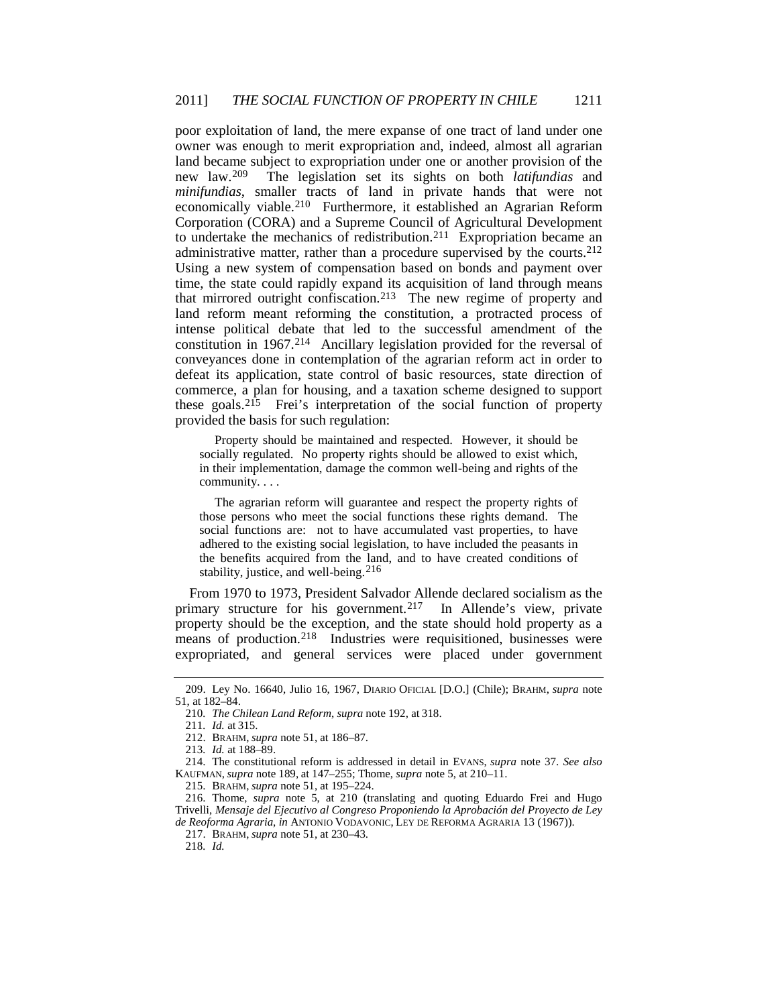<span id="page-29-0"></span>poor exploitation of land, the mere expanse of one tract of land under one owner was enough to merit expropriation and, indeed, almost all agrarian land became subject to expropriation under one or another provision of the new law.<sup>209</sup> The legislation set its sights on both *latifundias* and The legislation set its sights on both *latifundias* and *minifundias*, smaller tracts of land in private hands that were not economically viable.[210](#page-29-2) Furthermore, it established an Agrarian Reform Corporation (CORA) and a Supreme Council of Agricultural Development to undertake the mechanics of redistribution.[211](#page-29-3) Expropriation became an administrative matter, rather than a procedure supervised by the courts.[212](#page-29-4) Using a new system of compensation based on bonds and payment over time, the state could rapidly expand its acquisition of land through means that mirrored outright confiscation.[213](#page-29-5) The new regime of property and land reform meant reforming the constitution, a protracted process of intense political debate that led to the successful amendment of the constitution in 1967.[214](#page-29-6) Ancillary legislation provided for the reversal of conveyances done in contemplation of the agrarian reform act in order to defeat its application, state control of basic resources, state direction of commerce, a plan for housing, and a taxation scheme designed to support these goals.[215](#page-29-7) Frei's interpretation of the social function of property provided the basis for such regulation:

Property should be maintained and respected. However, it should be socially regulated. No property rights should be allowed to exist which, in their implementation, damage the common well-being and rights of the community. . . .

The agrarian reform will guarantee and respect the property rights of those persons who meet the social functions these rights demand. The social functions are: not to have accumulated vast properties, to have adhered to the existing social legislation, to have included the peasants in the benefits acquired from the land, and to have created conditions of stability, justice, and well-being.  $216$ 

From 1970 to 1973, President Salvador Allende declared socialism as the primary structure for his government.<sup>217</sup> In Allende's view, private property should be the exception, and the state should hold property as a means of production.<sup>[218](#page-29-10)</sup> Industries were requisitioned, businesses were expropriated, and general services were placed under government

215. BRAHM, *supra* not[e 51,](#page-9-8) at 195–224.

<span id="page-29-3"></span><span id="page-29-2"></span><span id="page-29-1"></span><sup>209.</sup> Ley No. 16640, Julio 16, 1967, DIARIO OFICIAL [D.O.] (Chile); BRAHM, *supra* note [51,](#page-9-8) at 182–84.

<sup>210</sup>*. The Chilean Land Reform*, *supra* not[e 192,](#page-27-1) at 318.

<sup>211</sup>*. Id.* at 315.

<sup>212.</sup> BRAHM, *supra* not[e 51,](#page-9-8) at 186–87.

<sup>213</sup>*. Id.* at 188–89.

<span id="page-29-6"></span><span id="page-29-5"></span><span id="page-29-4"></span><sup>214.</sup> The constitutional reform is addressed in detail in EVANS, *supra* note [37.](#page-7-10) *See also* KAUFMAN, *supra* not[e 189,](#page-27-0) at 147–255; Thome, *supra* not[e 5,](#page-2-4) at 210–11.

<span id="page-29-10"></span><span id="page-29-9"></span><span id="page-29-8"></span><span id="page-29-7"></span><sup>216.</sup> Thome, *supra* note [5,](#page-2-4) at 210 (translating and quoting Eduardo Frei and Hugo Trivelli, *Mensaje del Ejecutivo al Congreso Proponiendo la Aprobación del Proyecto de Ley de Reoforma Agraria*, *in* ANTONIO VODAVONIC, LEY DE REFORMA AGRARIA 13 (1967)).

<sup>217.</sup> BRAHM, *supra* not[e 51,](#page-9-8) at 230–43.

<sup>218</sup>*. Id.*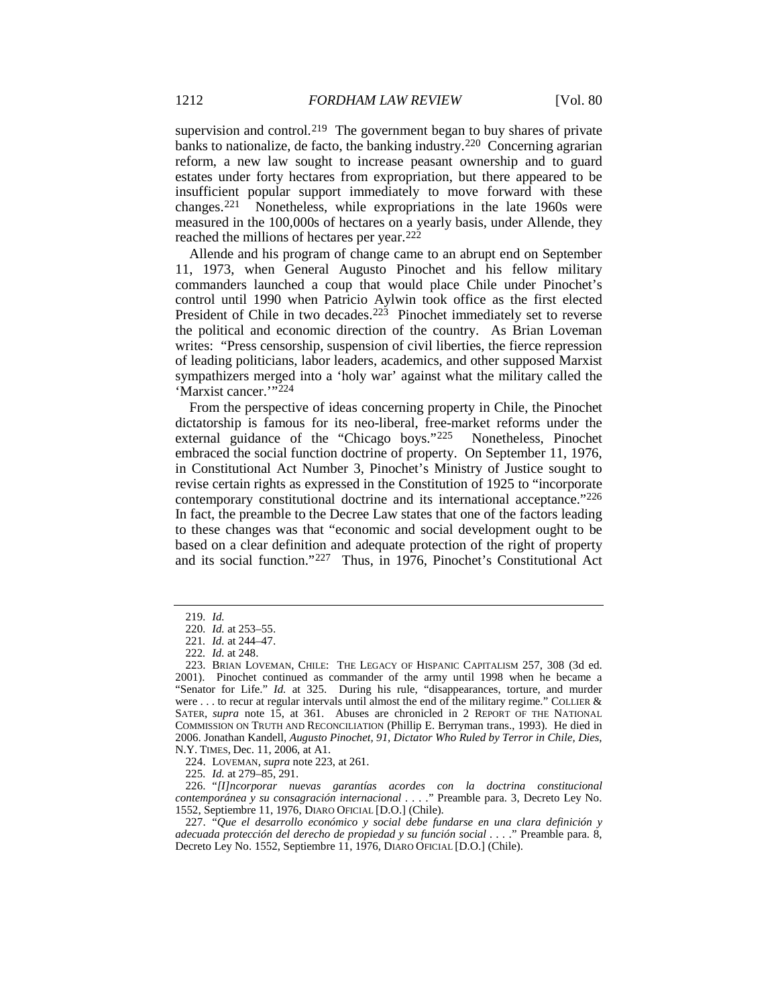supervision and control.<sup>219</sup> The government began to buy shares of private banks to nationalize, de facto, the banking industry.[220](#page-30-2) Concerning agrarian reform, a new law sought to increase peasant ownership and to guard estates under forty hectares from expropriation, but there appeared to be insufficient popular support immediately to move forward with these changes.[221](#page-30-3) Nonetheless, while expropriations in the late 1960s were measured in the 100,000s of hectares on a yearly basis, under Allende, they reached the millions of hectares per year.<sup>[222](#page-30-4)</sup>

<span id="page-30-0"></span>Allende and his program of change came to an abrupt end on September 11, 1973, when General Augusto Pinochet and his fellow military commanders launched a coup that would place Chile under Pinochet's control until 1990 when Patricio Aylwin took office as the first elected President of Chile in two decades.<sup>223</sup> Pinochet immediately set to reverse the political and economic direction of the country. As Brian Loveman writes: "Press censorship, suspension of civil liberties, the fierce repression of leading politicians, labor leaders, academics, and other supposed Marxist sympathizers merged into a 'holy war' against what the military called the 'Marxist cancer.'"[224](#page-30-6)

From the perspective of ideas concerning property in Chile, the Pinochet dictatorship is famous for its neo-liberal, free-market reforms under the external guidance of the "Chicago boys."[225](#page-30-7) Nonetheless, Pinochet embraced the social function doctrine of property. On September 11, 1976, in Constitutional Act Number 3, Pinochet's Ministry of Justice sought to revise certain rights as expressed in the Constitution of 1925 to "incorporate contemporary constitutional doctrine and its international acceptance."[226](#page-30-8) In fact, the preamble to the Decree Law states that one of the factors leading to these changes was that "economic and social development ought to be based on a clear definition and adequate protection of the right of property and its social function."[227](#page-30-9) Thus, in 1976, Pinochet's Constitutional Act

<sup>219</sup>*. Id.*

<sup>220</sup>*. Id.* at 253–55.

<sup>221</sup>*. Id.* at 244–47.

<sup>222</sup>*. Id.* at 248.

<span id="page-30-5"></span><span id="page-30-4"></span><span id="page-30-3"></span><span id="page-30-2"></span><span id="page-30-1"></span><sup>223.</sup> BRIAN LOVEMAN, CHILE: THE LEGACY OF HISPANIC CAPITALISM 257, 308 (3d ed. 2001). Pinochet continued as commander of the army until 1998 when he became a "Senator for Life." *Id.* at 325. During his rule, "disappearances, torture, and murder were ... to recur at regular intervals until almost the end of the military regime." COLLIER  $\&$ SATER, *supra* note [15,](#page-5-9) at 361. Abuses are chronicled in 2 REPORT OF THE NATIONAL COMMISSION ON TRUTH AND RECONCILIATION (Phillip E. Berryman trans., 1993). He died in 2006. Jonathan Kandell, *Augusto Pinochet, 91, Dictator Who Ruled by Terror in Chile, Dies*, N.Y. TIMES, Dec. 11, 2006, at A1.

<sup>224.</sup> LOVEMAN, *supra* not[e 223,](#page-30-0) at 261.

<sup>225</sup>*. Id.* at 279–85, 291.

<span id="page-30-8"></span><span id="page-30-7"></span><span id="page-30-6"></span><sup>226.</sup> "*[I]ncorporar nuevas garantías acordes con la doctrina constitucional contemporánea y su consagración internacional . . . .*" Preamble para. 3, Decreto Ley No. 1552, Septiembre 11, 1976, DIARO OFICIAL [D.O.] (Chile).

<span id="page-30-9"></span><sup>227.</sup> "*Que el desarrollo económico y social debe fundarse en una clara definición y adecuada protección del derecho de propiedad y su función social . . . .*" Preamble para. 8, Decreto Ley No. 1552, Septiembre 11, 1976, DIARO OFICIAL [D.O.] (Chile).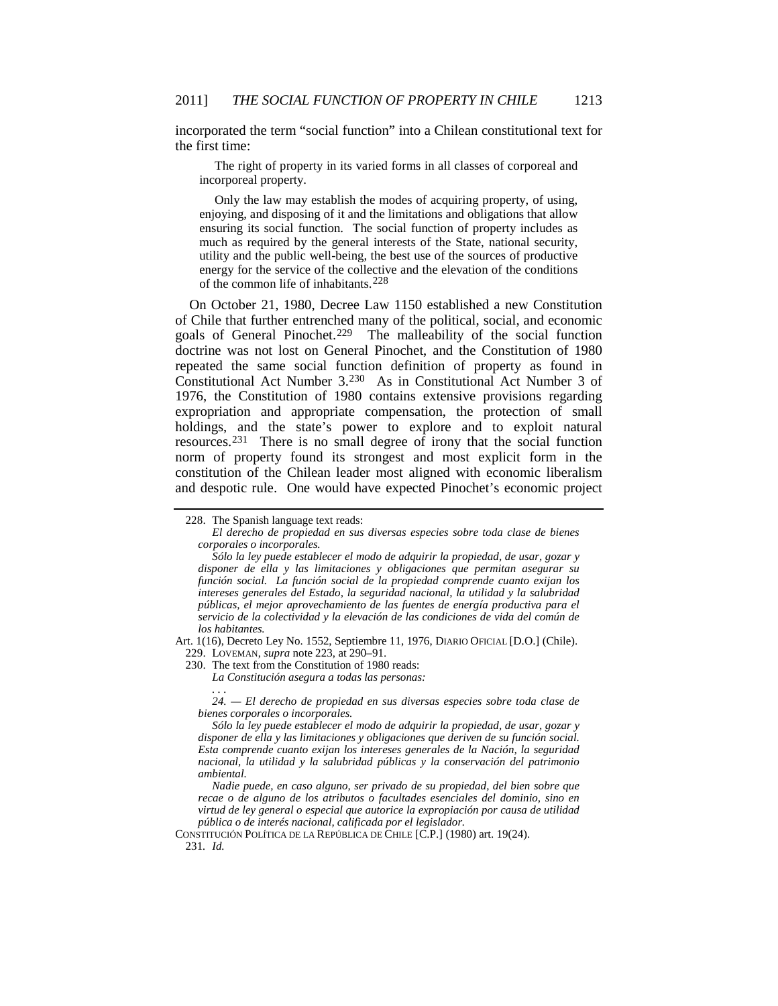incorporated the term "social function" into a Chilean constitutional text for the first time:

The right of property in its varied forms in all classes of corporeal and incorporeal property.

Only the law may establish the modes of acquiring property, of using, enjoying, and disposing of it and the limitations and obligations that allow ensuring its social function. The social function of property includes as much as required by the general interests of the State, national security, utility and the public well-being, the best use of the sources of productive energy for the service of the collective and the elevation of the conditions of the common life of inhabitants.[228](#page-31-1)

<span id="page-31-0"></span>On October 21, 1980, Decree Law 1150 established a new Constitution of Chile that further entrenched many of the political, social, and economic goals of General Pinochet.[229](#page-31-2) The malleability of the social function doctrine was not lost on General Pinochet, and the Constitution of 1980 repeated the same social function definition of property as found in Constitutional Act Number 3.[230](#page-31-3) As in Constitutional Act Number 3 of 1976, the Constitution of 1980 contains extensive provisions regarding expropriation and appropriate compensation, the protection of small holdings, and the state's power to explore and to exploit natural resources.[231](#page-31-4) There is no small degree of irony that the social function norm of property found its strongest and most explicit form in the constitution of the Chilean leader most aligned with economic liberalism and despotic rule. One would have expected Pinochet's economic project

*. . . 24. — El derecho de propiedad en sus diversas especies sobre toda clase de bienes corporales o incorporales.*

<span id="page-31-1"></span><sup>228.</sup> The Spanish language text reads:

*El derecho de propiedad en sus diversas especies sobre toda clase de bienes corporales o incorporales.*

*Sólo la ley puede establecer el modo de adquirir la propiedad, de usar, gozar y disponer de ella y las limitaciones y obligaciones que permitan asegurar su función social. La función social de la propiedad comprende cuanto exijan los intereses generales del Estado, la seguridad nacional, la utilidad y la salubridad públicas, el mejor aprovechamiento de las fuentes de energía productiva para el servicio de la colectividad y la elevación de las condiciones de vida del común de los habitantes.*

<span id="page-31-3"></span><span id="page-31-2"></span>Art. 1(16), Decreto Ley No. 1552, Septiembre 11, 1976, DIARIO OFICIAL [D.O.] (Chile). 229. LOVEMAN, *supra* not[e 223,](#page-30-0) at 290–91.

<sup>230.</sup> The text from the Constitution of 1980 reads:

*La Constitución asegura a todas las personas:*

*Sólo la ley puede establecer el modo de adquirir la propiedad, de usar, gozar y disponer de ella y las limitaciones y obligaciones que deriven de su función social. Esta comprende cuanto exijan los intereses generales de la Nación, la seguridad nacional, la utilidad y la salubridad públicas y la conservación del patrimonio ambiental.*

*Nadie puede, en caso alguno, ser privado de su propiedad, del bien sobre que recae o de alguno de los atributos o facultades esenciales del dominio, sino en virtud de ley general o especial que autorice la expropiación por causa de utilidad pública o de interés nacional, calificada por el legislador.*

<span id="page-31-4"></span>CONSTITUCIÓN POLÍTICA DE LA REPÚBLICA DE CHILE [C.P.] (1980) art. 19(24). 231*. Id.*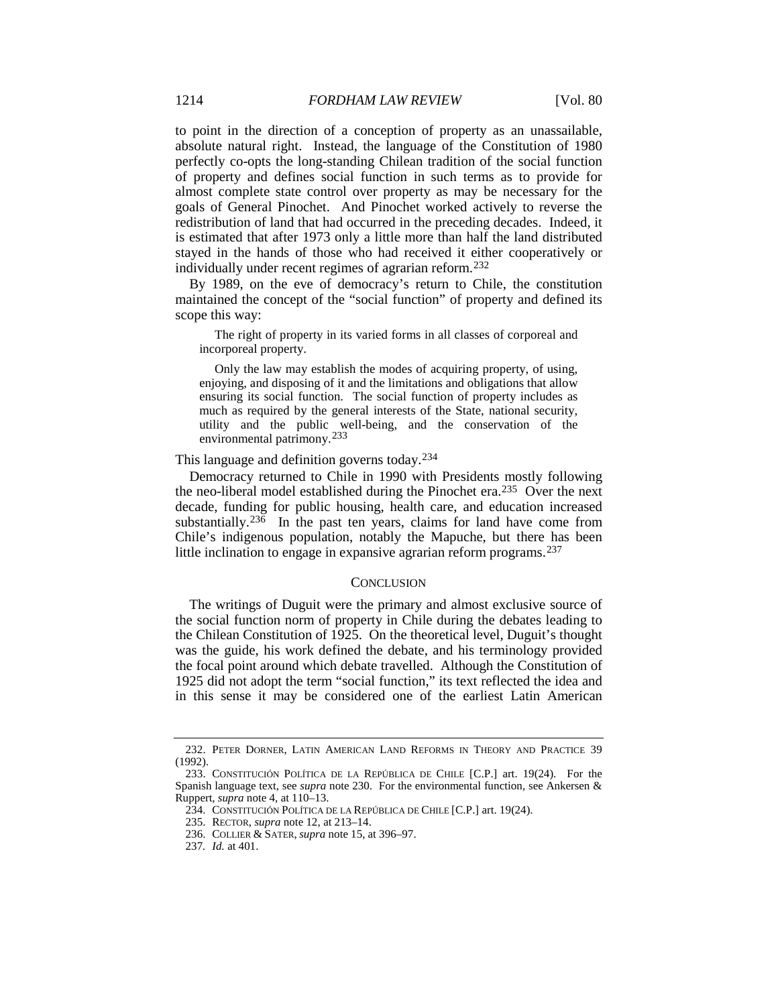to point in the direction of a conception of property as an unassailable, absolute natural right. Instead, the language of the Constitution of 1980 perfectly co-opts the long-standing Chilean tradition of the social function of property and defines social function in such terms as to provide for almost complete state control over property as may be necessary for the goals of General Pinochet. And Pinochet worked actively to reverse the redistribution of land that had occurred in the preceding decades. Indeed, it is estimated that after 1973 only a little more than half the land distributed stayed in the hands of those who had received it either cooperatively or individually under recent regimes of agrarian reform.[232](#page-32-0)

By 1989, on the eve of democracy's return to Chile, the constitution maintained the concept of the "social function" of property and defined its scope this way:

The right of property in its varied forms in all classes of corporeal and incorporeal property.

Only the law may establish the modes of acquiring property, of using, enjoying, and disposing of it and the limitations and obligations that allow ensuring its social function. The social function of property includes as much as required by the general interests of the State, national security, utility and the public well-being, and the conservation of the environmental patrimony.<sup>[233](#page-32-1)</sup>

This language and definition governs today.[234](#page-32-2)

Democracy returned to Chile in 1990 with Presidents mostly following the neo-liberal model established during the Pinochet era.[235](#page-32-3) Over the next decade, funding for public housing, health care, and education increased substantially.<sup>[236](#page-32-4)</sup> In the past ten years, claims for land have come from Chile's indigenous population, notably the Mapuche, but there has been little inclination to engage in expansive agrarian reform programs.[237](#page-32-5)

#### **CONCLUSION**

The writings of Duguit were the primary and almost exclusive source of the social function norm of property in Chile during the debates leading to the Chilean Constitution of 1925. On the theoretical level, Duguit's thought was the guide, his work defined the debate, and his terminology provided the focal point around which debate travelled. Although the Constitution of 1925 did not adopt the term "social function," its text reflected the idea and in this sense it may be considered one of the earliest Latin American

<span id="page-32-0"></span><sup>232.</sup> PETER DORNER, LATIN AMERICAN LAND REFORMS IN THEORY AND PRACTICE 39 (1992).

<span id="page-32-4"></span><span id="page-32-3"></span><span id="page-32-2"></span><span id="page-32-1"></span><sup>233.</sup> CONSTITUCIÓN POLÍTICA DE LA REPÚBLICA DE CHILE [C.P.] art. 19(24). For the Spanish language text, see *supra* note [230.](#page-31-0) For the environmental function, see Ankersen & Ruppert, *supra* note [4,](#page-2-3) at 110–13.

<sup>234.</sup> CONSTITUCIÓN POLÍTICA DE LA REPÚBLICA DE CHILE [C.P.] art. 19(24).

<sup>235.</sup> RECTOR, *supra* note [12,](#page-5-0) at 213–14.

<sup>236.</sup> COLLIER & SATER, *supra* not[e 15,](#page-5-9) at 396–97.

<span id="page-32-5"></span><sup>237</sup>*. Id.* at 401.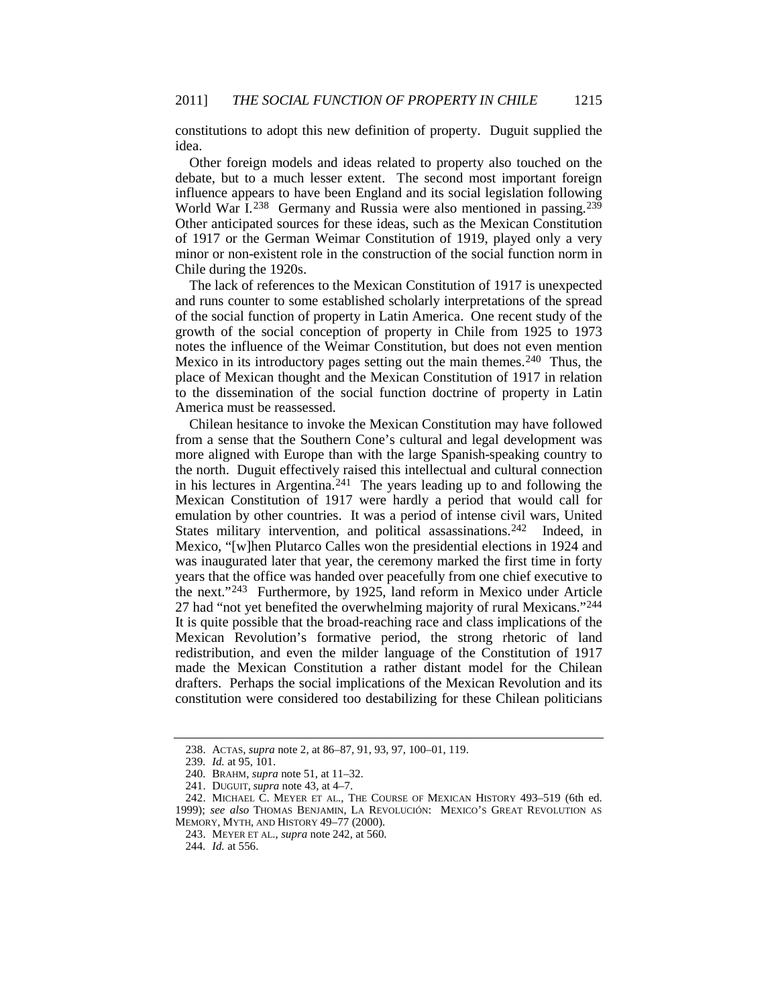constitutions to adopt this new definition of property. Duguit supplied the idea.

Other foreign models and ideas related to property also touched on the debate, but to a much lesser extent. The second most important foreign influence appears to have been England and its social legislation following World War I.<sup>238</sup> Germany and Russia were also mentioned in passing.<sup>[239](#page-33-2)</sup> Other anticipated sources for these ideas, such as the Mexican Constitution of 1917 or the German Weimar Constitution of 1919, played only a very minor or non-existent role in the construction of the social function norm in Chile during the 1920s.

The lack of references to the Mexican Constitution of 1917 is unexpected and runs counter to some established scholarly interpretations of the spread of the social function of property in Latin America. One recent study of the growth of the social conception of property in Chile from 1925 to 1973 notes the influence of the Weimar Constitution, but does not even mention Mexico in its introductory pages setting out the main themes.<sup>[240](#page-33-3)</sup> Thus, the place of Mexican thought and the Mexican Constitution of 1917 in relation to the dissemination of the social function doctrine of property in Latin America must be reassessed.

<span id="page-33-0"></span>Chilean hesitance to invoke the Mexican Constitution may have followed from a sense that the Southern Cone's cultural and legal development was more aligned with Europe than with the large Spanish-speaking country to the north. Duguit effectively raised this intellectual and cultural connection in his lectures in Argentina. [241](#page-33-4) The years leading up to and following the Mexican Constitution of 1917 were hardly a period that would call for emulation by other countries. It was a period of intense civil wars, United States military intervention, and political assassinations.<sup>242</sup> Indeed, in Mexico, "[w]hen Plutarco Calles won the presidential elections in 1924 and was inaugurated later that year, the ceremony marked the first time in forty years that the office was handed over peacefully from one chief executive to the next."[243](#page-33-6) Furthermore, by 1925, land reform in Mexico under Article 27 had "not yet benefited the overwhelming majority of rural Mexicans."<sup>[244](#page-33-7)</sup> It is quite possible that the broad-reaching race and class implications of the Mexican Revolution's formative period, the strong rhetoric of land redistribution, and even the milder language of the Constitution of 1917 made the Mexican Constitution a rather distant model for the Chilean drafters. Perhaps the social implications of the Mexican Revolution and its constitution were considered too destabilizing for these Chilean politicians

<sup>238.</sup> ACTAS, *supra* note [2,](#page-1-3) at 86–87, 91, 93, 97, 100–01, 119.

<sup>239</sup>*. Id.* at 95, 101.

<sup>240.</sup> BRAHM, *supra* note [51,](#page-9-8) at 11–32.

<sup>241.</sup> DUGUIT, *supra* note [43,](#page-8-5) at 4–7.

<span id="page-33-7"></span><span id="page-33-6"></span><span id="page-33-5"></span><span id="page-33-4"></span><span id="page-33-3"></span><span id="page-33-2"></span><span id="page-33-1"></span><sup>242.</sup> MICHAEL C. MEYER ET AL., THE COURSE OF MEXICAN HISTORY 493–519 (6th ed. 1999); *see also* THOMAS BENJAMIN, LA REVOLUCIÓN: MEXICO'S GREAT REVOLUTION AS MEMORY, MYTH, AND HISTORY 49–77 (2000).

<sup>243.</sup> MEYER ET AL., *supra* note [242,](#page-33-0) at 560.

<sup>244</sup>*. Id.* at 556.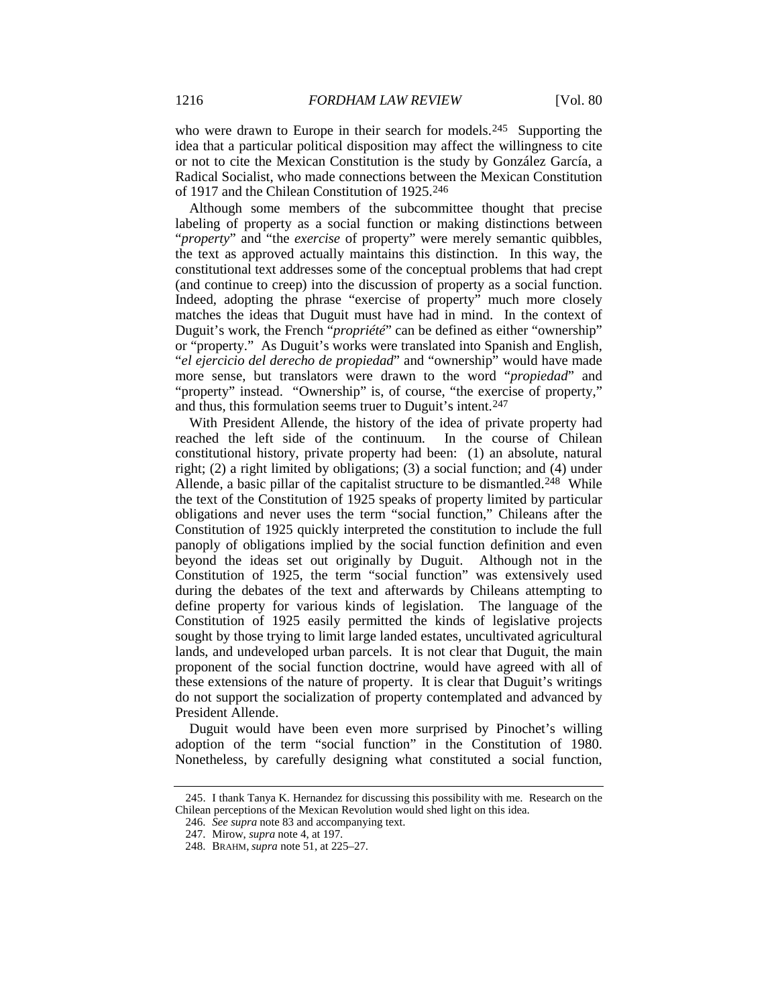who were drawn to Europe in their search for models.<sup>245</sup> Supporting the idea that a particular political disposition may affect the willingness to cite or not to cite the Mexican Constitution is the study by González García, a Radical Socialist, who made connections between the Mexican Constitution of 1917 and the Chilean Constitution of 1925.[246](#page-34-1)

Although some members of the subcommittee thought that precise labeling of property as a social function or making distinctions between "*property*" and "the *exercise* of property" were merely semantic quibbles, the text as approved actually maintains this distinction. In this way, the constitutional text addresses some of the conceptual problems that had crept (and continue to creep) into the discussion of property as a social function. Indeed, adopting the phrase "exercise of property" much more closely matches the ideas that Duguit must have had in mind. In the context of Duguit's work, the French "*propriété*" can be defined as either "ownership" or "property." As Duguit's works were translated into Spanish and English, "*el ejercicio del derecho de propiedad*" and "ownership" would have made more sense, but translators were drawn to the word "*propiedad*" and "property" instead. "Ownership" is, of course, "the exercise of property," and thus, this formulation seems truer to Duguit's intent.<sup>[247](#page-34-2)</sup>

With President Allende, the history of the idea of private property had reached the left side of the continuum. In the course of Chilean constitutional history, private property had been: (1) an absolute, natural right; (2) a right limited by obligations; (3) a social function; and (4) under Allende, a basic pillar of the capitalist structure to be dismantled.<sup>[248](#page-34-3)</sup> While the text of the Constitution of 1925 speaks of property limited by particular obligations and never uses the term "social function," Chileans after the Constitution of 1925 quickly interpreted the constitution to include the full panoply of obligations implied by the social function definition and even beyond the ideas set out originally by Duguit. Although not in the Constitution of 1925, the term "social function" was extensively used during the debates of the text and afterwards by Chileans attempting to define property for various kinds of legislation. The language of the Constitution of 1925 easily permitted the kinds of legislative projects sought by those trying to limit large landed estates, uncultivated agricultural lands, and undeveloped urban parcels. It is not clear that Duguit, the main proponent of the social function doctrine, would have agreed with all of these extensions of the nature of property. It is clear that Duguit's writings do not support the socialization of property contemplated and advanced by President Allende.

Duguit would have been even more surprised by Pinochet's willing adoption of the term "social function" in the Constitution of 1980. Nonetheless, by carefully designing what constituted a social function,

<span id="page-34-3"></span><span id="page-34-2"></span><span id="page-34-1"></span><span id="page-34-0"></span><sup>245.</sup> I thank Tanya K. Hernandez for discussing this possibility with me. Research on the Chilean perceptions of the Mexican Revolution would shed light on this idea.

<sup>246.</sup> *See supra* not[e 83](#page-13-5) and accompanying text.

<sup>247.</sup> Mirow, *supra* not[e 4,](#page-2-3) at 197.

<sup>248.</sup> BRAHM, *supra* not[e 51,](#page-9-8) at 225–27.